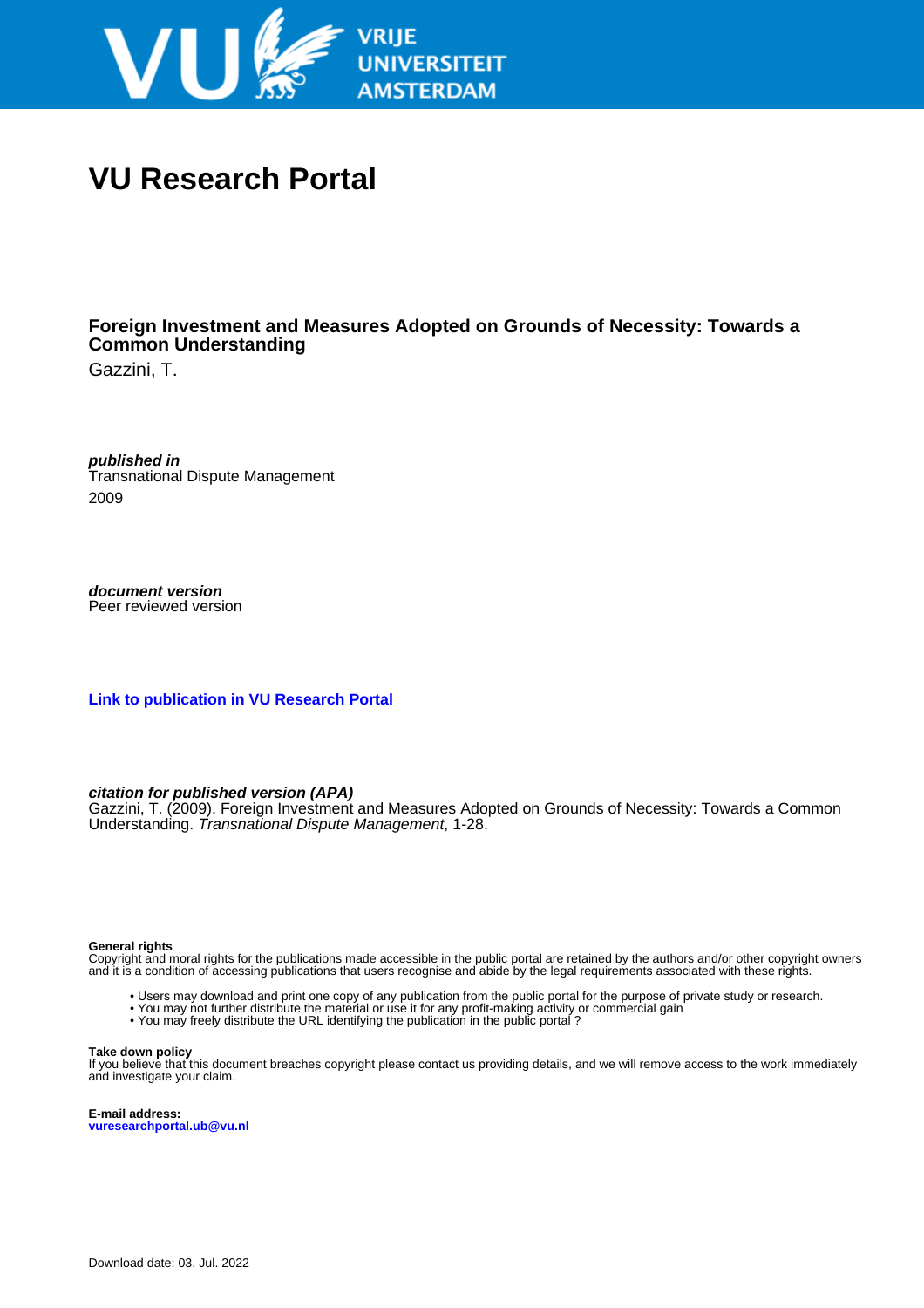

# **VU Research Portal**

# **Foreign Investment and Measures Adopted on Grounds of Necessity: Towards a Common Understanding**

Gazzini, T.

**published in** Transnational Dispute Management 2009

**document version** Peer reviewed version

**[Link to publication in VU Research Portal](https://research.vu.nl/en/publications/58175a59-6396-4e29-bc9f-fd68a7193ef5)**

#### **citation for published version (APA)**

Gazzini, T. (2009). Foreign Investment and Measures Adopted on Grounds of Necessity: Towards a Common Understanding. Transnational Dispute Management, 1-28.

#### **General rights**

Copyright and moral rights for the publications made accessible in the public portal are retained by the authors and/or other copyright owners and it is a condition of accessing publications that users recognise and abide by the legal requirements associated with these rights.

- Users may download and print one copy of any publication from the public portal for the purpose of private study or research.
- You may not further distribute the material or use it for any profit-making activity or commercial gain
- You may freely distribute the URL identifying the publication in the public portal ?

#### **Take down policy**

If you believe that this document breaches copyright please contact us providing details, and we will remove access to the work immediately and investigate your claim.

**E-mail address: vuresearchportal.ub@vu.nl**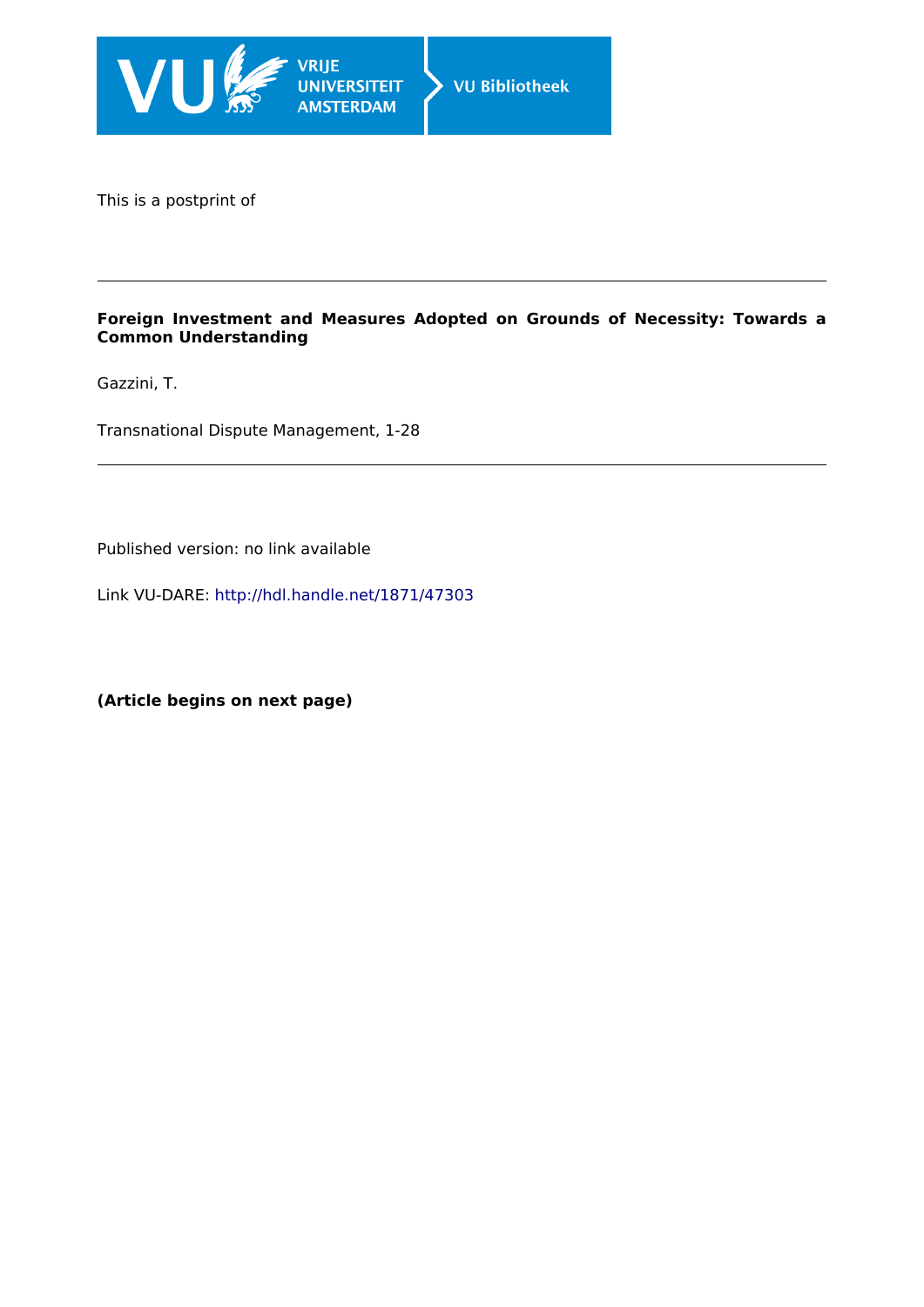

This is a postprint of

### **Foreign Investment and Measures Adopted on Grounds of Necessity: Towards a Common Understanding**

Gazzini, T.

Transnational Dispute Management, 1-28

Published version: no link available

Link VU-DARE:<http://hdl.handle.net/1871/47303>

**(Article begins on next page)**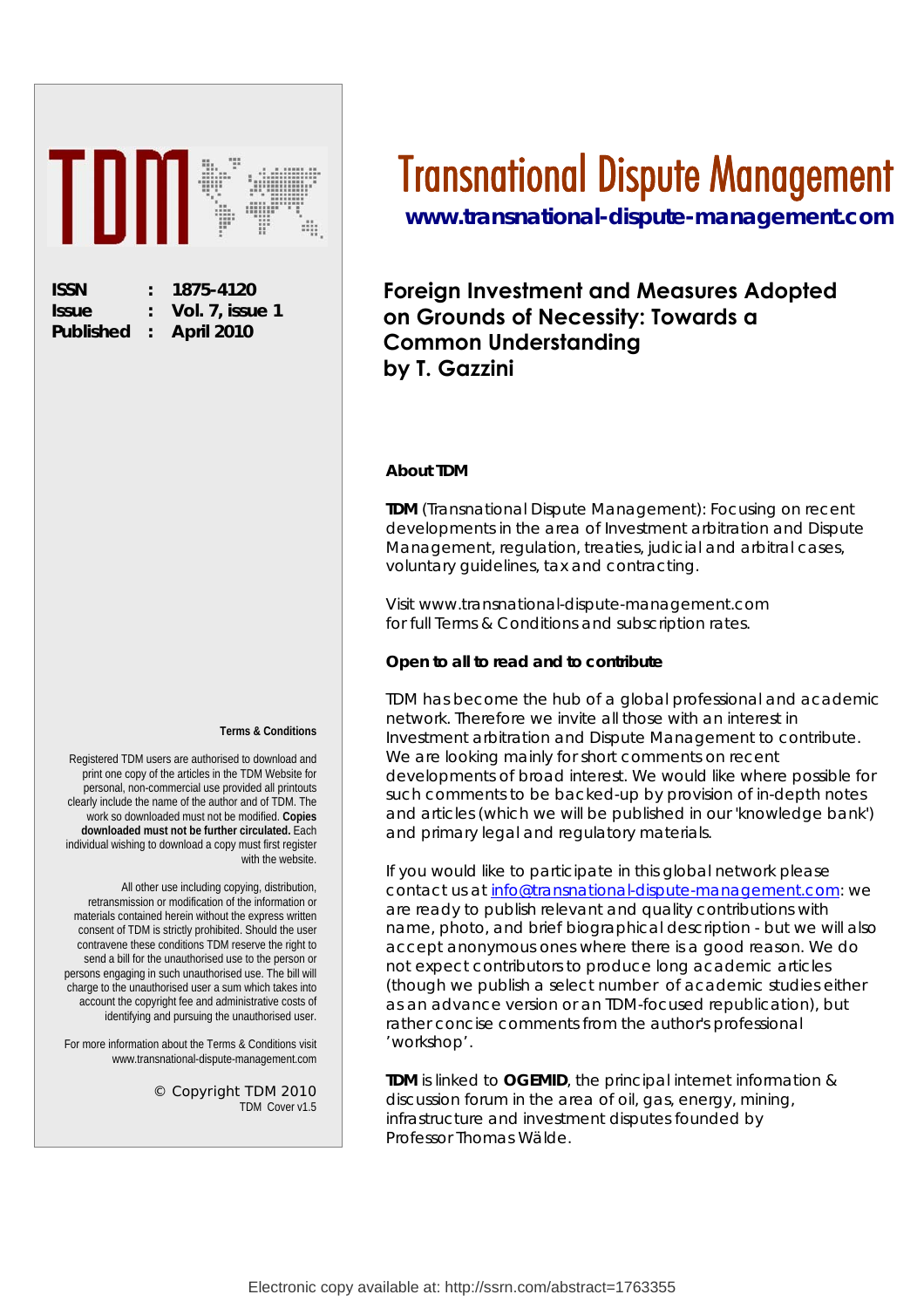TU

**ISSN : 1875-4120 Issue : Vol. 7, issue 1 Published : April 2010**

#### **Terms & Conditions**

Registered TDM users are authorised to download and print one copy of the articles in the TDM Website for personal, non-commercial use provided all printouts clearly include the name of the author and of TDM. The work so downloaded must not be modified. **Copies downloaded must not be further circulated.** Each individual wishing to download a copy must first register with the website.

All other use including copying, distribution, retransmission or modification of the information or materials contained herein without the express written consent of TDM is strictly prohibited. Should the user contravene these conditions TDM reserve the right to send a bill for the unauthorised use to the person or persons engaging in such unauthorised use. The bill will<br>charge to the unauthorised user a sum which takes into charge to the unauthorised user a sum which takes into account the copyright fee and administrative costs of identifying and pursuing the unauthorised user.

For more information about the Terms & Conditions visit www.transnational-dispute-management.com

> © Copyright TDM 2010 TDM Cover v1.5

# Transnational Dispute Management

**<www.transnational-dispute-management.com>**

**Foreign Investment and Measures Adopted on Grounds of Necessity: Towards a Common Understanding by T. Gazzini**

#### **About TDM**

**TDM** (Transnational Dispute Management): Focusing on recent developments in the area of Investment arbitration and Dispute Management, regulation, treaties, judicial and arbitral cases, voluntary guidelines, tax and contracting.

Visit www.transnational-dispute-management.com for full Terms & Conditions and subscription rates.

#### **Open to all to read and to contribute**

TDM has become the hub of a global professional and academic network. Therefore we invite all those with an interest in Investment arbitration and Dispute Management to contribute. We are looking mainly for short comments on recent developments of broad interest. We would like where possible for such comments to be backed-up by provision of in-depth notes and articles (which we will be published in our 'knowledge bank') and primary legal and regulatory materials.

If you would like to participate in this global network please contact us at info@transnational-dispute-management.com: we are ready to publish relevant and quality contributions with name, photo, and brief biographical description - but we will also accept anonymous ones where there is a good reason. We do not expect contributors to produce long academic articles (though we publish a select number of academic studies either as an advance version or an TDM-focused republication), but rather concise comments from the author's professional 'workshop'.

**TDM** is linked to **OGEMID**, the principal internet information & discussion forum in the area of oil, gas, energy, mining, infrastructure and investment disputes founded by **omas Wälde.**<br> **Professor Thomas Wälde.**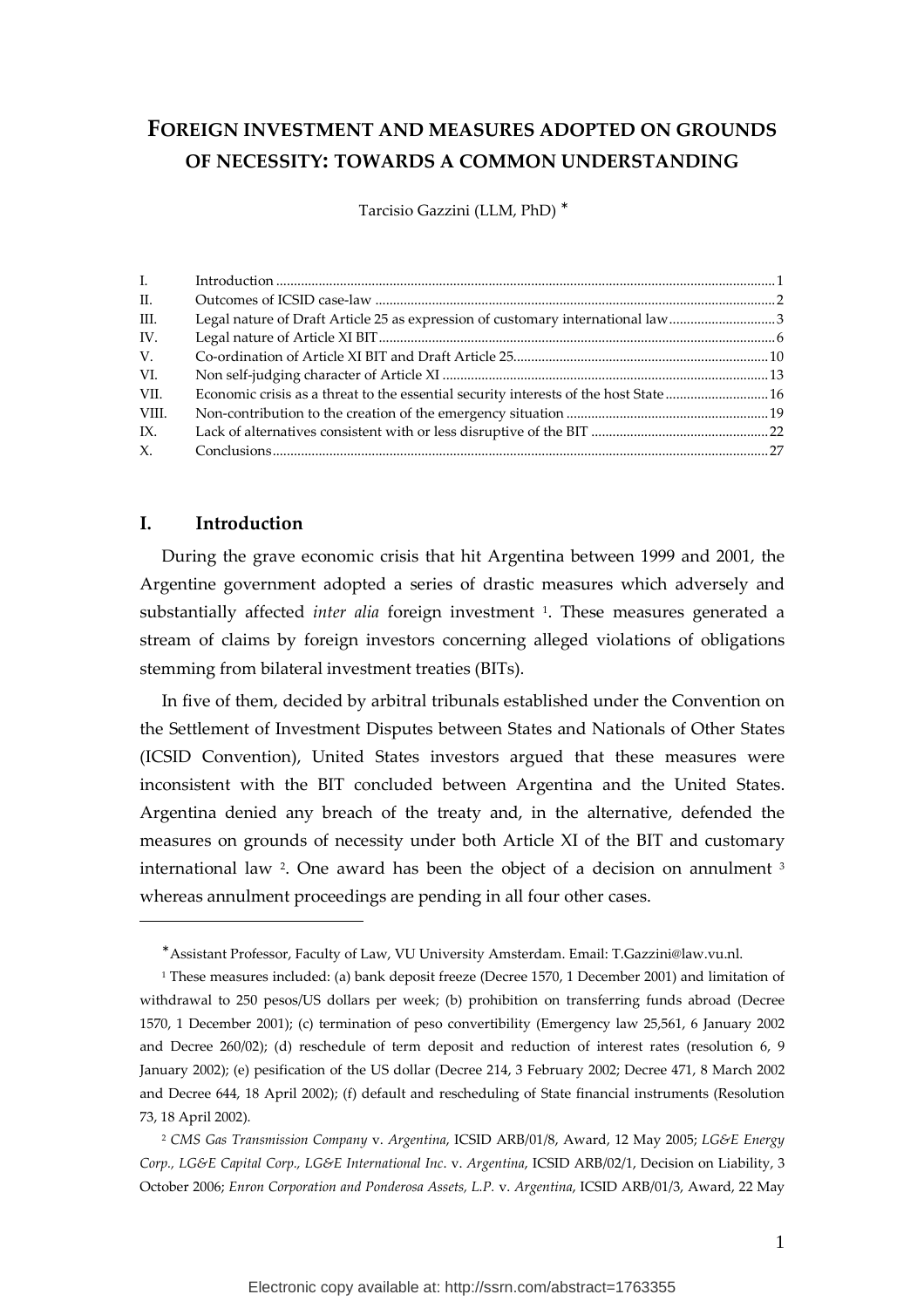# **FOREIGN INVESTMENT AND MEASURES ADOPTED ON GROUNDS OF NECESSITY: TOWARDS A COMMON UNDERSTANDING**

Tarcisio Gazzini (LLM, PhD) <sup>∗</sup>

| $\mathbf{L}$ |                                                                                       |  |
|--------------|---------------------------------------------------------------------------------------|--|
| П.           |                                                                                       |  |
| III.         | Legal nature of Draft Article 25 as expression of customary international law3        |  |
| IV.          |                                                                                       |  |
| V.           |                                                                                       |  |
| VI.          |                                                                                       |  |
| VII.         | Economic crisis as a threat to the essential security interests of the host State  16 |  |
| VIII.        |                                                                                       |  |
| IX.          |                                                                                       |  |
| X.           |                                                                                       |  |

#### **I. Introduction**

 $\overline{a}$ 

During the grave economic crisis that hit Argentina between 1999 and 2001, the Argentine government adopted a series of drastic measures which adversely and substantially affected *inter alia* foreign investment <sup>1</sup> . These measures generated a stream of claims by foreign investors concerning alleged violations of obligations stemming from bilateral investment treaties (BITs).

In five of them, decided by arbitral tribunals established under the Convention on the Settlement of Investment Disputes between States and Nationals of Other States (ICSID Convention), United States investors argued that these measures were inconsistent with the BIT concluded between Argentina and the United States. Argentina denied any breach of the treaty and, in the alternative, defended the measures on grounds of necessity under both Article XI of the BIT and customary international law <sup>2</sup> . One award has been the object of a decision on annulment <sup>3</sup> whereas annulment proceedings are pending in all four other cases.

<sup>∗</sup> Assistant Professor, Faculty of Law, VU University Amsterdam. Email: T.Gazzini@law.vu.nl.

<sup>1</sup> These measures included: (a) bank deposit freeze (Decree 1570, 1 December 2001) and limitation of withdrawal to 250 pesos/US dollars per week; (b) prohibition on transferring funds abroad (Decree 1570, 1 December 2001); (c) termination of peso convertibility (Emergency law 25,561, 6 January 2002 and Decree 260/02); (d) reschedule of term deposit and reduction of interest rates (resolution 6, 9 January 2002); (e) pesification of the US dollar (Decree 214, 3 February 2002; Decree 471, 8 March 2002 and Decree 644, 18 April 2002); (f) default and rescheduling of State financial instruments (Resolution 73, 18 April 2002).

<sup>2</sup> *CMS Gas Transmission Company* v. *Argentina*, ICSID ARB/01/8, Award, 12 May 2005; *LG&E Energy Corp., LG&E Capital Corp., LG&E International Inc*. v. *Argentina*, ICSID ARB/02/1, Decision on Liability, 3 October 2006; *Enron Corporation and Ponderosa Assets, L.P.* v. *Argentina*, ICSID ARB/01/3, Award, 22 May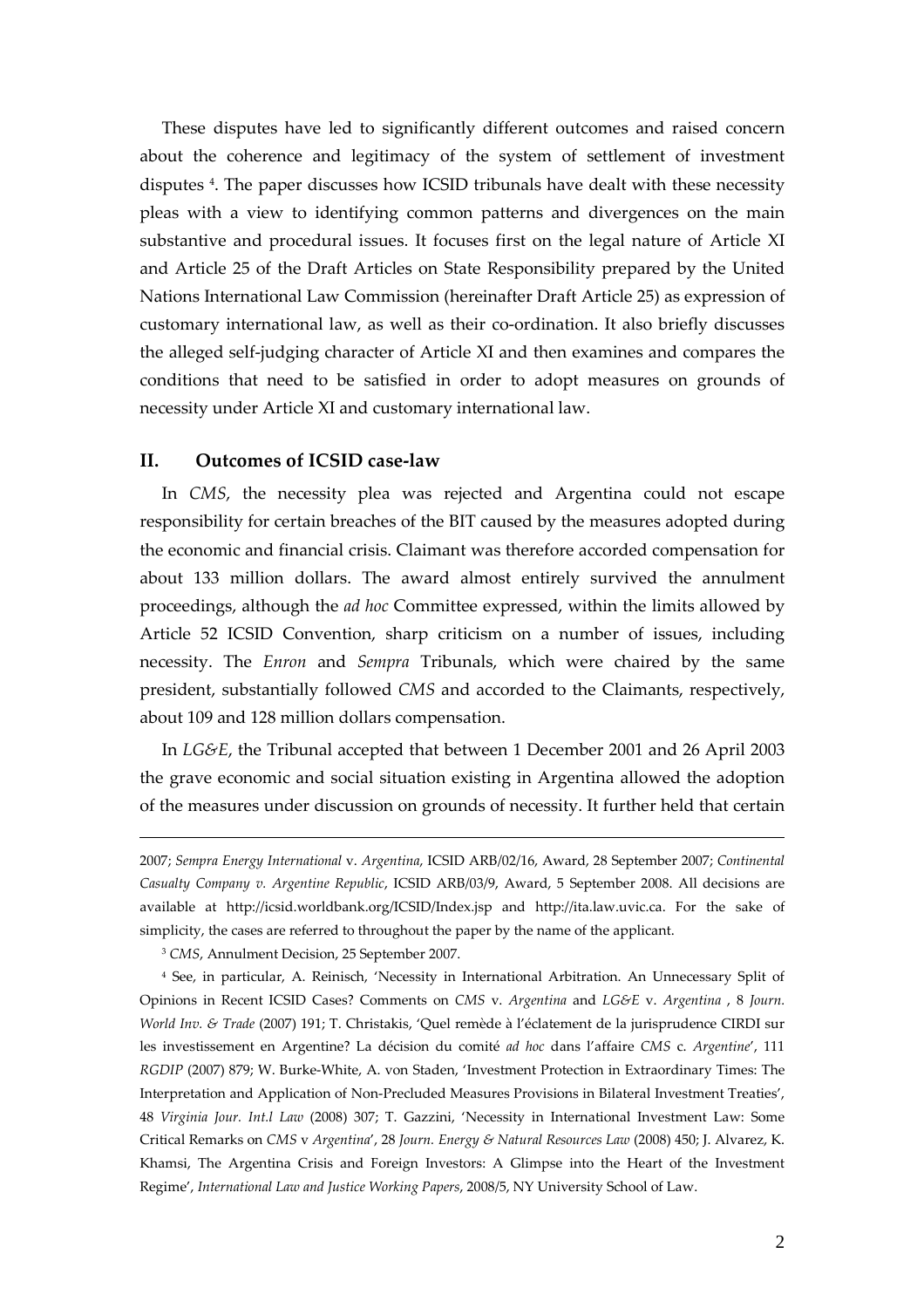These disputes have led to significantly different outcomes and raised concern about the coherence and legitimacy of the system of settlement of investment disputes <sup>4</sup> . The paper discusses how ICSID tribunals have dealt with these necessity pleas with a view to identifying common patterns and divergences on the main substantive and procedural issues. It focuses first on the legal nature of Article XI and Article 25 of the Draft Articles on State Responsibility prepared by the United Nations International Law Commission (hereinafter Draft Article 25) as expression of customary international law, as well as their co-ordination. It also briefly discusses the alleged self-judging character of Article XI and then examines and compares the conditions that need to be satisfied in order to adopt measures on grounds of necessity under Article XI and customary international law.

#### **II. Outcomes of ICSID case-law**

In *CMS*, the necessity plea was rejected and Argentina could not escape responsibility for certain breaches of the BIT caused by the measures adopted during the economic and financial crisis. Claimant was therefore accorded compensation for about 133 million dollars. The award almost entirely survived the annulment proceedings, although the *ad hoc* Committee expressed, within the limits allowed by Article 52 ICSID Convention, sharp criticism on a number of issues, including necessity. The *Enron* and *Sempra* Tribunals, which were chaired by the same president, substantially followed *CMS* and accorded to the Claimants, respectively, about 109 and 128 million dollars compensation.

In *LG&E*, the Tribunal accepted that between 1 December 2001 and 26 April 2003 the grave economic and social situation existing in Argentina allowed the adoption of the measures under discussion on grounds of necessity. It further held that certain

<sup>3</sup> *CMS*, Annulment Decision, 25 September 2007.

<sup>2007;</sup> *Sempra Energy International* v. *Argentina*, ICSID ARB/02/16, Award, 28 September 2007; *Continental Casualty Company v. Argentine Republic*, ICSID ARB/03/9, Award, 5 September 2008. All decisions are available at http://icsid.worldbank.org/ICSID/Index.jsp and http://ita.law.uvic.ca. For the sake of simplicity, the cases are referred to throughout the paper by the name of the applicant.

<sup>4</sup> See, in particular, A. Reinisch, 'Necessity in International Arbitration. An Unnecessary Split of Opinions in Recent ICSID Cases? Comments on *CMS* v. *Argentina* and *LG&E* v. *Argentina* , 8 *Journ. World Inv. & Trade* (2007) 191; T. Christakis, 'Quel remède à l'éclatement de la jurisprudence CIRDI sur les investissement en Argentine? La décision du comité *ad hoc* dans l'affaire *CMS* c. *Argentine*', 111 *RGDIP* (2007) 879; W. Burke-White, A. von Staden, 'Investment Protection in Extraordinary Times: The Interpretation and Application of Non-Precluded Measures Provisions in Bilateral Investment Treaties', 48 *Virginia Jour. Int.l Law* (2008) 307; T. Gazzini, 'Necessity in International Investment Law: Some Critical Remarks on *CMS* v *Argentina*', 28 *Journ. Energy & Natural Resources Law* (2008) 450; J. Alvarez, K. Khamsi, The Argentina Crisis and Foreign Investors: A Glimpse into the Heart of the Investment Regime', *International Law and Justice Working Papers*, 2008/5, NY University School of Law.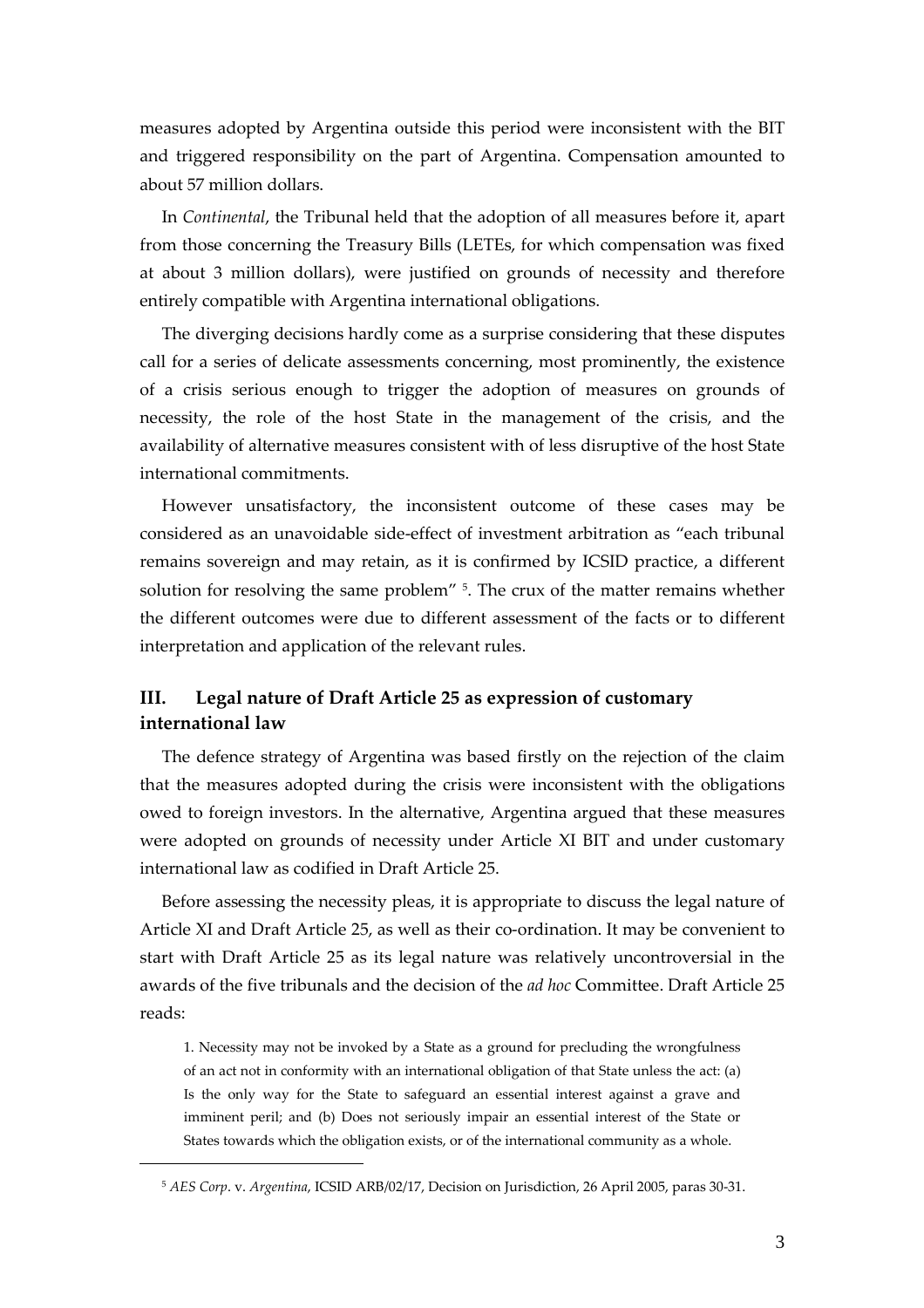measures adopted by Argentina outside this period were inconsistent with the BIT and triggered responsibility on the part of Argentina. Compensation amounted to about 57 million dollars.

In *Continental*, the Tribunal held that the adoption of all measures before it, apart from those concerning the Treasury Bills (LETEs, for which compensation was fixed at about 3 million dollars), were justified on grounds of necessity and therefore entirely compatible with Argentina international obligations.

The diverging decisions hardly come as a surprise considering that these disputes call for a series of delicate assessments concerning, most prominently, the existence of a crisis serious enough to trigger the adoption of measures on grounds of necessity, the role of the host State in the management of the crisis, and the availability of alternative measures consistent with of less disruptive of the host State international commitments.

However unsatisfactory, the inconsistent outcome of these cases may be considered as an unavoidable side-effect of investment arbitration as "each tribunal remains sovereign and may retain, as it is confirmed by ICSID practice, a different solution for resolving the same problem" <sup>5</sup>. The crux of the matter remains whether the different outcomes were due to different assessment of the facts or to different interpretation and application of the relevant rules.

# **III. Legal nature of Draft Article 25 as expression of customary international law**

The defence strategy of Argentina was based firstly on the rejection of the claim that the measures adopted during the crisis were inconsistent with the obligations owed to foreign investors. In the alternative, Argentina argued that these measures were adopted on grounds of necessity under Article XI BIT and under customary international law as codified in Draft Article 25.

Before assessing the necessity pleas, it is appropriate to discuss the legal nature of Article XI and Draft Article 25, as well as their co-ordination. It may be convenient to start with Draft Article 25 as its legal nature was relatively uncontroversial in the awards of the five tribunals and the decision of the *ad hoc* Committee. Draft Article 25 reads:

1. Necessity may not be invoked by a State as a ground for precluding the wrongfulness of an act not in conformity with an international obligation of that State unless the act: (a) Is the only way for the State to safeguard an essential interest against a grave and imminent peril; and (b) Does not seriously impair an essential interest of the State or States towards which the obligation exists, or of the international community as a whole.

<sup>5</sup> *AES Corp*. v. *Argentina*, ICSID ARB/02/17, Decision on Jurisdiction, 26 April 2005, paras 30-31.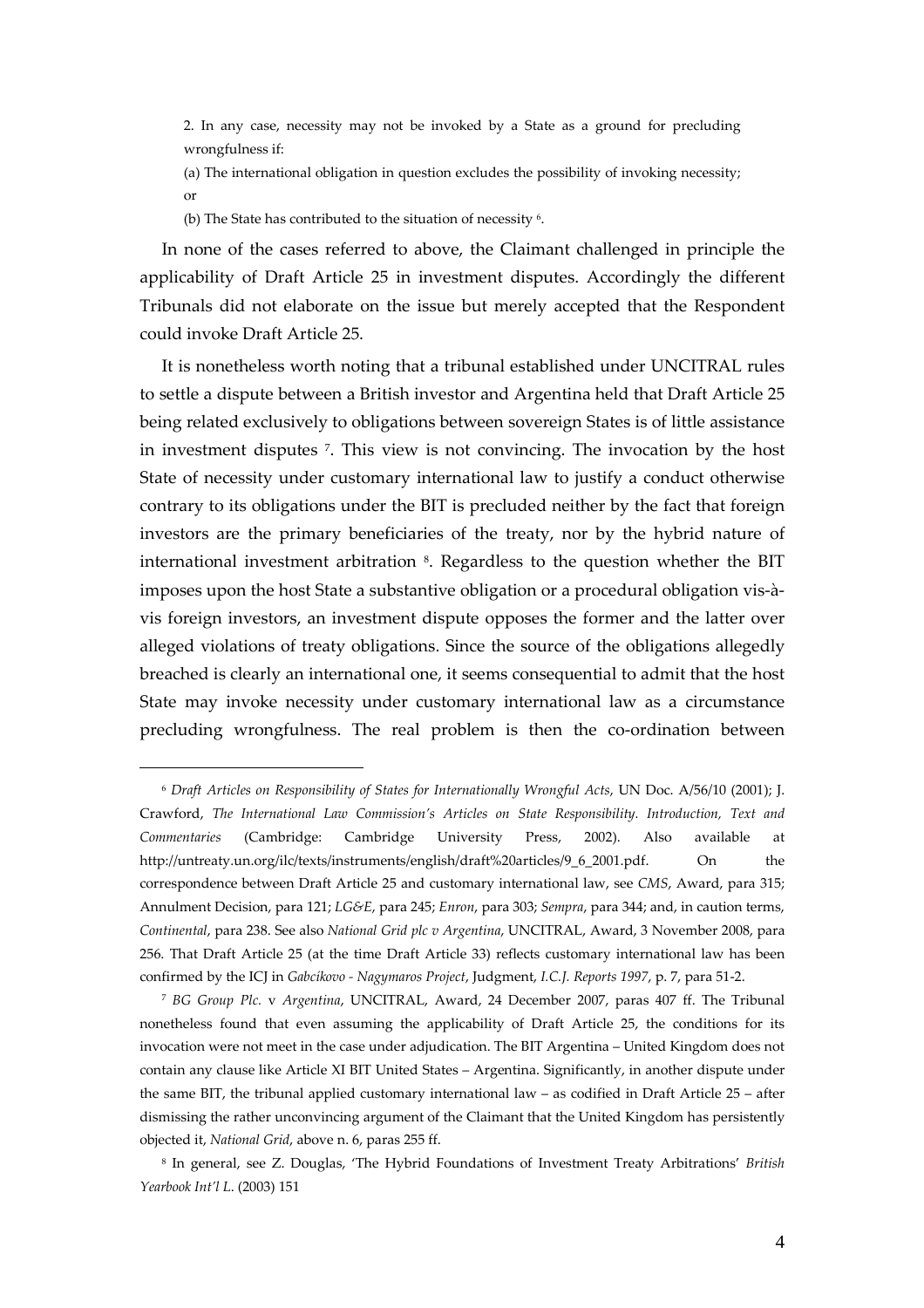2. In any case, necessity may not be invoked by a State as a ground for precluding wrongfulness if:

(a) The international obligation in question excludes the possibility of invoking necessity; or

(b) The State has contributed to the situation of necessity <sup>6</sup>.

 $\overline{a}$ 

In none of the cases referred to above, the Claimant challenged in principle the applicability of Draft Article 25 in investment disputes. Accordingly the different Tribunals did not elaborate on the issue but merely accepted that the Respondent could invoke Draft Article 25.

It is nonetheless worth noting that a tribunal established under UNCITRAL rules to settle a dispute between a British investor and Argentina held that Draft Article 25 being related exclusively to obligations between sovereign States is of little assistance in investment disputes <sup>7</sup> . This view is not convincing. The invocation by the host State of necessity under customary international law to justify a conduct otherwise contrary to its obligations under the BIT is precluded neither by the fact that foreign investors are the primary beneficiaries of the treaty, nor by the hybrid nature of international investment arbitration <sup>8</sup> . Regardless to the question whether the BIT imposes upon the host State a substantive obligation or a procedural obligation vis-àvis foreign investors, an investment dispute opposes the former and the latter over alleged violations of treaty obligations. Since the source of the obligations allegedly breached is clearly an international one, it seems consequential to admit that the host State may invoke necessity under customary international law as a circumstance precluding wrongfulness. The real problem is then the co-ordination between

<sup>6</sup> *Draft Articles on Responsibility of States for Internationally Wrongful Acts*, UN Doc. A/56/10 (2001); J. Crawford, *The International Law Commission's Articles on State Responsibility. Introduction, Text and Commentaries* (Cambridge: Cambridge University Press, 2002). Also available at http://untreaty.un.org/ilc/texts/instruments/english/draft%20articles/9\_6\_2001.pdf. On the correspondence between Draft Article 25 and customary international law, see *CMS*, Award, para 315; Annulment Decision, para 121; *LG&E*, para 245; *Enron*, para 303; *Sempra*, para 344; and, in caution terms, *Continental*, para 238. See also *National Grid plc v Argentina*, UNCITRAL, Award, 3 November 2008, para 256. That Draft Article 25 (at the time Draft Article 33) reflects customary international law has been confirmed by the ICJ in *Gabcíkovo - Nagymaros Project*, Judgment, *I.C.J. Reports 1997*, p. 7, para 51-2.

<sup>7</sup> *BG Group Plc.* v *Argentina*, UNCITRAL, Award, 24 December 2007, paras 407 ff. The Tribunal nonetheless found that even assuming the applicability of Draft Article 25, the conditions for its invocation were not meet in the case under adjudication. The BIT Argentina – United Kingdom does not contain any clause like Article XI BIT United States – Argentina. Significantly, in another dispute under the same BIT, the tribunal applied customary international law – as codified in Draft Article 25 – after dismissing the rather unconvincing argument of the Claimant that the United Kingdom has persistently objected it, *National Grid*, above n. 6, paras 255 ff.

<sup>8</sup> In general, see Z. Douglas, 'The Hybrid Foundations of Investment Treaty Arbitrations' *British Yearbook Int'l L*. (2003) 151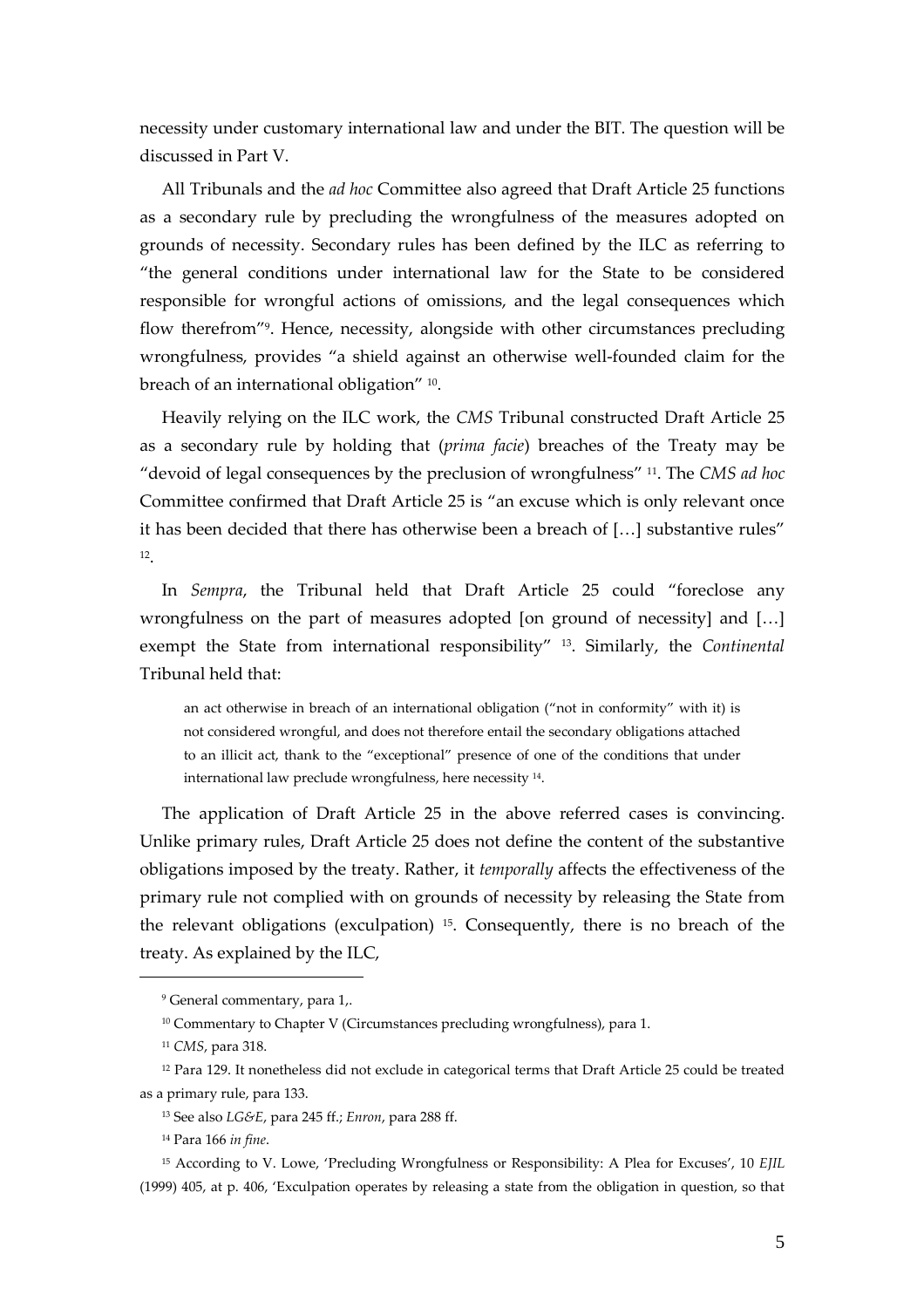necessity under customary international law and under the BIT. The question will be discussed in Part V.

All Tribunals and the *ad hoc* Committee also agreed that Draft Article 25 functions as a secondary rule by precluding the wrongfulness of the measures adopted on grounds of necessity. Secondary rules has been defined by the ILC as referring to "the general conditions under international law for the State to be considered responsible for wrongful actions of omissions, and the legal consequences which flow therefrom"<sup>9</sup> . Hence, necessity, alongside with other circumstances precluding wrongfulness, provides "a shield against an otherwise well-founded claim for the breach of an international obligation" <sup>10</sup>.

Heavily relying on the ILC work, the *CMS* Tribunal constructed Draft Article 25 as a secondary rule by holding that (*prima facie*) breaches of the Treaty may be "devoid of legal consequences by the preclusion of wrongfulness" 11. The *CMS ad hoc* Committee confirmed that Draft Article 25 is "an excuse which is only relevant once it has been decided that there has otherwise been a breach of […] substantive rules" 12 .

In *Sempra*, the Tribunal held that Draft Article 25 could "foreclose any wrongfulness on the part of measures adopted [on ground of necessity] and […] exempt the State from international responsibility" <sup>13</sup>. Similarly, the *Continental* Tribunal held that:

an act otherwise in breach of an international obligation ("not in conformity" with it) is not considered wrongful, and does not therefore entail the secondary obligations attached to an illicit act, thank to the "exceptional" presence of one of the conditions that under international law preclude wrongfulness, here necessity <sup>14</sup> .

The application of Draft Article 25 in the above referred cases is convincing. Unlike primary rules, Draft Article 25 does not define the content of the substantive obligations imposed by the treaty. Rather, it *temporally* affects the effectiveness of the primary rule not complied with on grounds of necessity by releasing the State from the relevant obligations (exculpation) 15. Consequently, there is no breach of the treaty. As explained by the ILC,

<sup>9</sup> General commentary, para 1,.

<sup>&</sup>lt;sup>10</sup> Commentary to Chapter V (Circumstances precluding wrongfulness), para 1.

<sup>11</sup> *CMS*, para 318.

<sup>&</sup>lt;sup>12</sup> Para 129. It nonetheless did not exclude in categorical terms that Draft Article 25 could be treated as a primary rule, para 133.

<sup>13</sup> See also *LG&E*, para 245 ff.; *Enron*, para 288 ff.

<sup>14</sup> Para 166 *in fine*.

<sup>15</sup> According to V. Lowe, 'Precluding Wrongfulness or Responsibility: A Plea for Excuses', 10 *EJIL* (1999) 405, at p. 406, 'Exculpation operates by releasing a state from the obligation in question, so that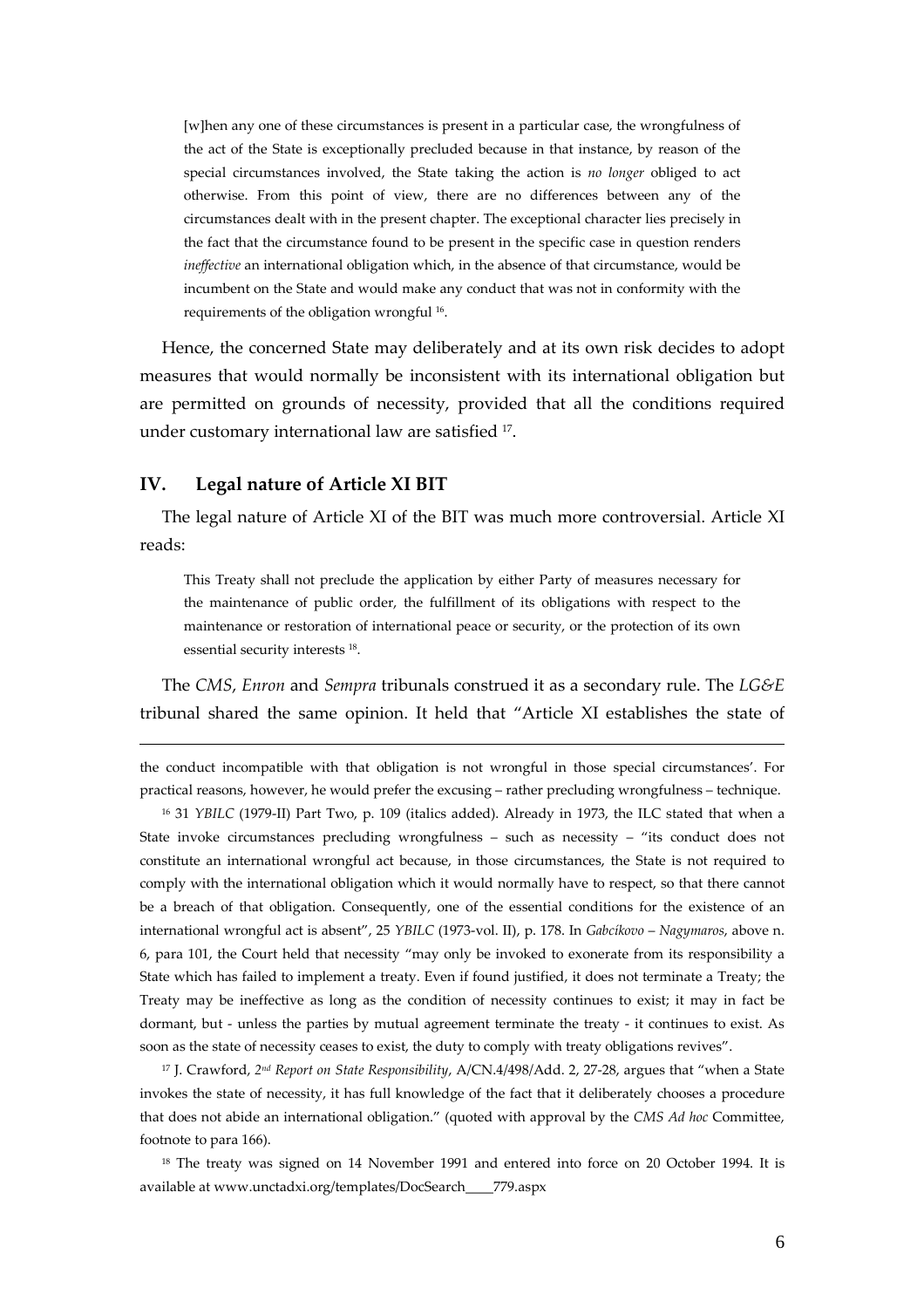[w]hen any one of these circumstances is present in a particular case, the wrongfulness of the act of the State is exceptionally precluded because in that instance, by reason of the special circumstances involved, the State taking the action is *no longer* obliged to act otherwise. From this point of view, there are no differences between any of the circumstances dealt with in the present chapter. The exceptional character lies precisely in the fact that the circumstance found to be present in the specific case in question renders *ineffective* an international obligation which, in the absence of that circumstance, would be incumbent on the State and would make any conduct that was not in conformity with the requirements of the obligation wrongful <sup>16</sup> .

Hence, the concerned State may deliberately and at its own risk decides to adopt measures that would normally be inconsistent with its international obligation but are permitted on grounds of necessity, provided that all the conditions required under customary international law are satisfied <sup>17</sup> .

#### **IV. Legal nature of Article XI BIT**

 $\overline{a}$ 

The legal nature of Article XI of the BIT was much more controversial. Article XI reads:

This Treaty shall not preclude the application by either Party of measures necessary for the maintenance of public order, the fulfillment of its obligations with respect to the maintenance or restoration of international peace or security, or the protection of its own essential security interests <sup>18</sup> .

The *CMS*, *Enron* and *Sempra* tribunals construed it as a secondary rule. The *LG&E*  tribunal shared the same opinion. It held that "Article XI establishes the state of

the conduct incompatible with that obligation is not wrongful in those special circumstances'. For practical reasons, however, he would prefer the excusing – rather precluding wrongfulness – technique.

<sup>16</sup> 31 *YBILC* (1979-II) Part Two, p. 109 (italics added). Already in 1973, the ILC stated that when a State invoke circumstances precluding wrongfulness – such as necessity – "its conduct does not constitute an international wrongful act because, in those circumstances, the State is not required to comply with the international obligation which it would normally have to respect, so that there cannot be a breach of that obligation. Consequently, one of the essential conditions for the existence of an international wrongful act is absent", 25 *YBILC* (1973-vol. II), p. 178. In *Gabcíkovo* – *Nagymaros*, above n. 6, para 101, the Court held that necessity "may only be invoked to exonerate from its responsibility a State which has failed to implement a treaty. Even if found justified, it does not terminate a Treaty; the Treaty may be ineffective as long as the condition of necessity continues to exist; it may in fact be dormant, but - unless the parties by mutual agreement terminate the treaty - it continues to exist. As soon as the state of necessity ceases to exist, the duty to comply with treaty obligations revives".

<sup>17</sup> J. Crawford*,* 2<sup>nd</sup> Report on State Responsibility, A/CN.4/498/Add. 2, 27-28, argues that "when a State invokes the state of necessity, it has full knowledge of the fact that it deliberately chooses a procedure that does not abide an international obligation." (quoted with approval by the *CMS Ad hoc* Committee, footnote to para 166).

<sup>18</sup> The treaty was signed on 14 November 1991 and entered into force on 20 October 1994. It is available at www.unctadxi.org/templates/DocSearch\_\_\_\_779.aspx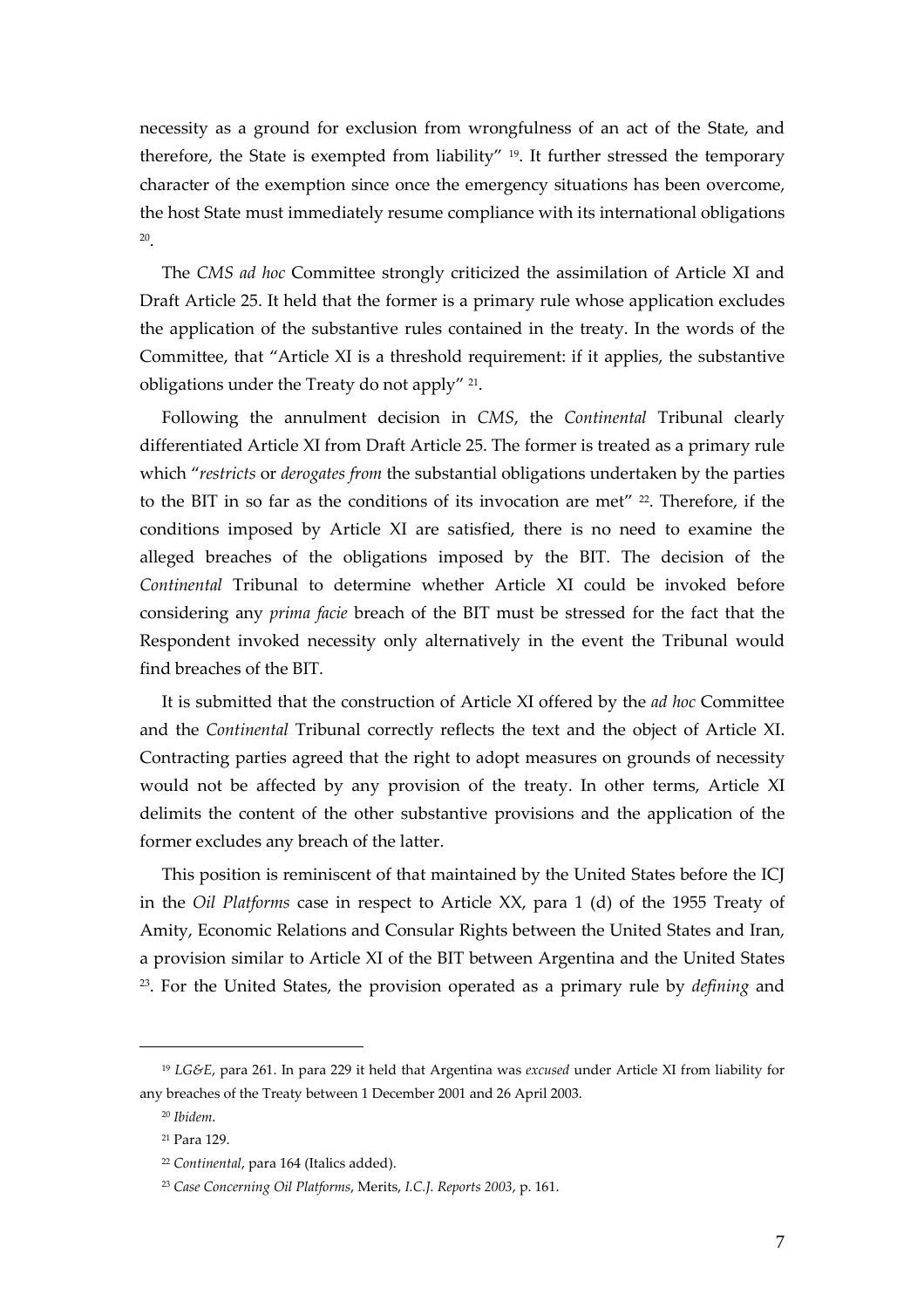necessity as a ground for exclusion from wrongfulness of an act of the State, and therefore, the State is exempted from liability" <sup>19</sup>. It further stressed the temporary character of the exemption since once the emergency situations has been overcome, the host State must immediately resume compliance with its international obligations 20 .

The *CMS ad hoc* Committee strongly criticized the assimilation of Article XI and Draft Article 25. It held that the former is a primary rule whose application excludes the application of the substantive rules contained in the treaty. In the words of the Committee, that "Article XI is a threshold requirement: if it applies, the substantive obligations under the Treaty do not apply" <sup>21</sup>.

Following the annulment decision in *CMS*, the *Continental* Tribunal clearly differentiated Article XI from Draft Article 25. The former is treated as a primary rule which "*restricts* or *derogates from* the substantial obligations undertaken by the parties to the BIT in so far as the conditions of its invocation are met" 22. Therefore, if the conditions imposed by Article XI are satisfied, there is no need to examine the alleged breaches of the obligations imposed by the BIT. The decision of the *Continental* Tribunal to determine whether Article XI could be invoked before considering any *prima facie* breach of the BIT must be stressed for the fact that the Respondent invoked necessity only alternatively in the event the Tribunal would find breaches of the BIT.

It is submitted that the construction of Article XI offered by the *ad hoc* Committee and the *Continental* Tribunal correctly reflects the text and the object of Article XI. Contracting parties agreed that the right to adopt measures on grounds of necessity would not be affected by any provision of the treaty. In other terms, Article XI delimits the content of the other substantive provisions and the application of the former excludes any breach of the latter.

This position is reminiscent of that maintained by the United States before the ICJ in the *Oil Platforms* case in respect to Article XX, para 1 (d) of the 1955 Treaty of Amity, Economic Relations and Consular Rights between the United States and Iran, a provision similar to Article XI of the BIT between Argentina and the United States <sup>23</sup>. For the United States, the provision operated as a primary rule by *defining* and

<sup>19</sup> *LG&E*, para 261. In para 229 it held that Argentina was *excused* under Article XI from liability for any breaches of the Treaty between 1 December 2001 and 26 April 2003.

<sup>20</sup> *Ibidem*.

<sup>21</sup> Para 129.

<sup>22</sup> *Continental*, para 164 (Italics added).

<sup>23</sup> *Case Concerning Oil Platforms*, Merits, *I.C.J. Reports 2003*, p. 161.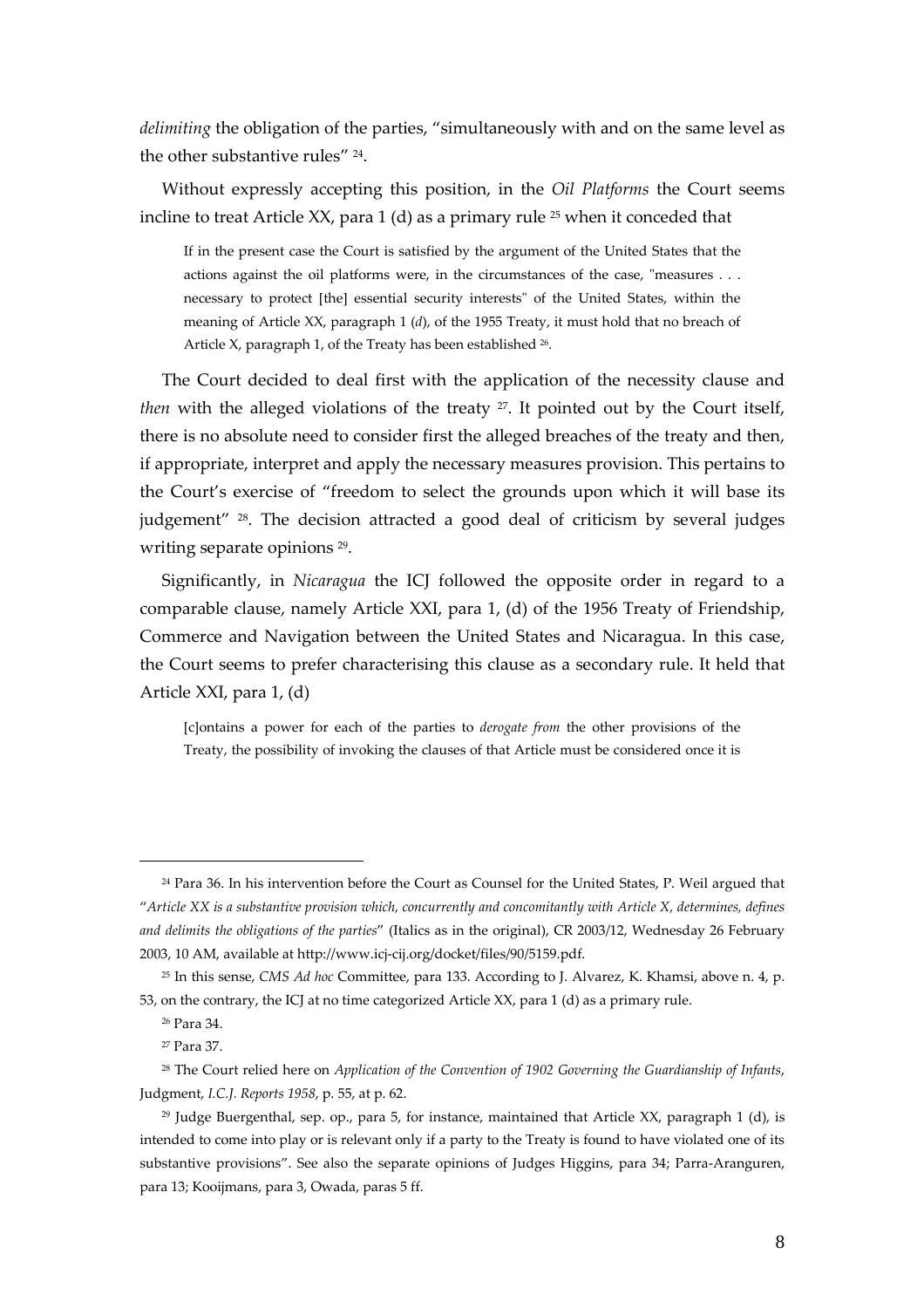*delimiting* the obligation of the parties, "simultaneously with and on the same level as the other substantive rules" <sup>24</sup> .

Without expressly accepting this position, in the *Oil Platforms* the Court seems incline to treat Article XX, para 1 (d) as a primary rule  $25$  when it conceded that

If in the present case the Court is satisfied by the argument of the United States that the actions against the oil platforms were, in the circumstances of the case, "measures . . . necessary to protect [the] essential security interests" of the United States, within the meaning of Article XX, paragraph 1 (*d*), of the 1955 Treaty, it must hold that no breach of Article X, paragraph 1, of the Treaty has been established <sup>26</sup>.

The Court decided to deal first with the application of the necessity clause and *then* with the alleged violations of the treaty <sup>27</sup>. It pointed out by the Court itself, there is no absolute need to consider first the alleged breaches of the treaty and then, if appropriate, interpret and apply the necessary measures provision. This pertains to the Court's exercise of "freedom to select the grounds upon which it will base its judgement" <sup>28</sup>. The decision attracted a good deal of criticism by several judges writing separate opinions<sup>29</sup>.

Significantly, in *Nicaragua* the ICJ followed the opposite order in regard to a comparable clause, namely Article XXI, para 1, (d) of the 1956 Treaty of Friendship, Commerce and Navigation between the United States and Nicaragua. In this case, the Court seems to prefer characterising this clause as a secondary rule. It held that Article XXI, para 1, (d)

[c]ontains a power for each of the parties to *derogate from* the other provisions of the Treaty, the possibility of invoking the clauses of that Article must be considered once it is

<sup>&</sup>lt;sup>24</sup> Para 36. In his intervention before the Court as Counsel for the United States, P. Weil argued that "*Article XX is a substantive provision which, concurrently and concomitantly with Article X, determines, defines and delimits the obligations of the parties*" (Italics as in the original), CR 2003/12, Wednesday 26 February 2003, 10 AM, available at http://www.icj-cij.org/docket/files/90/5159.pdf.

<sup>25</sup> In this sense, *CMS Ad hoc* Committee, para 133. According to J. Alvarez, K. Khamsi, above n. 4, p. 53, on the contrary, the ICJ at no time categorized Article XX, para 1 (d) as a primary rule.

<sup>26</sup> Para 34.

<sup>27</sup> Para 37.

<sup>28</sup> The Court relied here on *Application of the Convention of 1902 Governing the Guardianship of Infants*, Judgment, *I.C.J. Reports 1958*, p. 55, at p. 62.

<sup>&</sup>lt;sup>29</sup> Judge Buergenthal, sep. op., para 5, for instance, maintained that Article XX, paragraph 1 (d), is intended to come into play or is relevant only if a party to the Treaty is found to have violated one of its substantive provisions". See also the separate opinions of Judges Higgins, para 34; Parra-Aranguren, para 13; Kooijmans, para 3, Owada, paras 5 ff.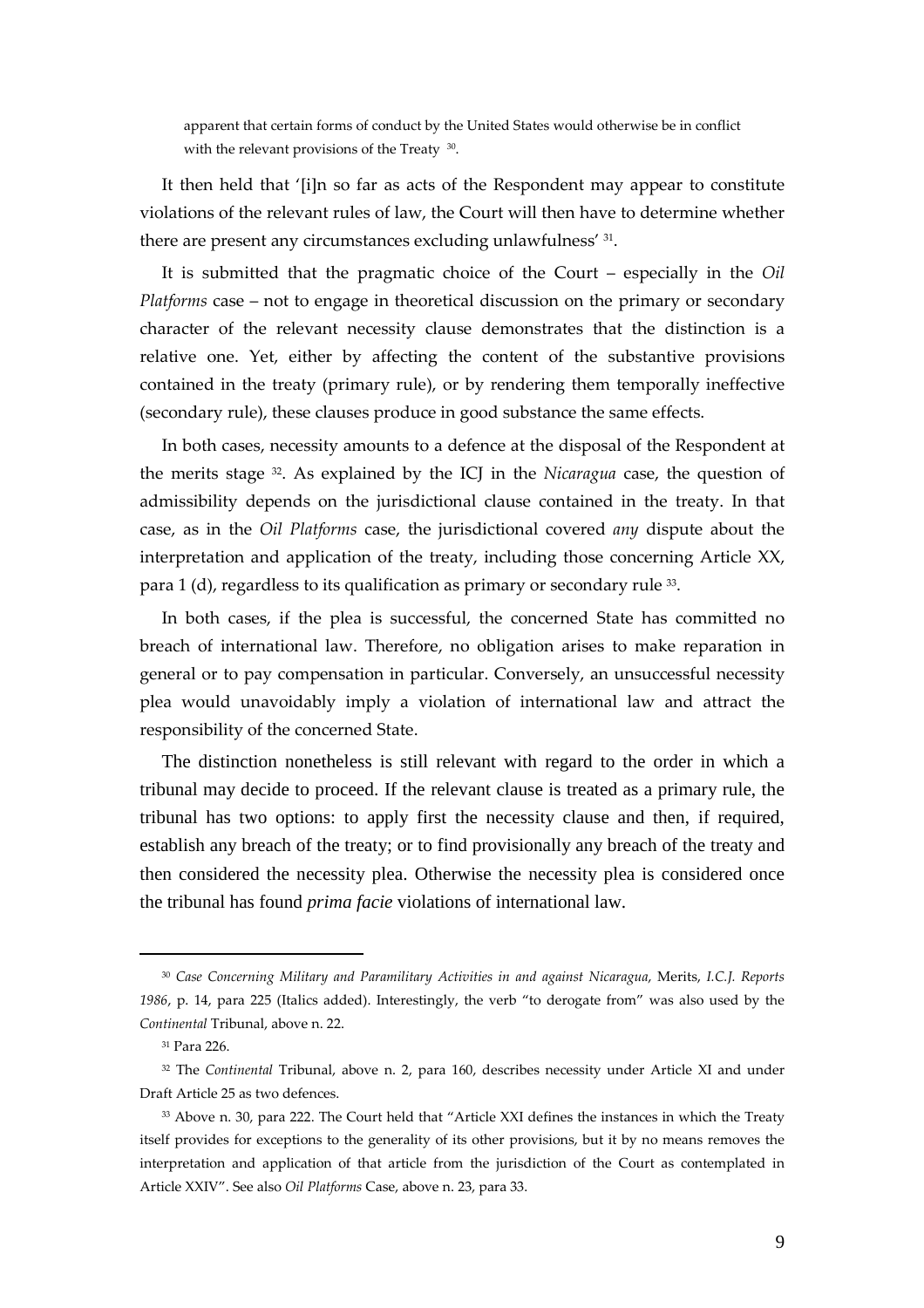apparent that certain forms of conduct by the United States would otherwise be in conflict with the relevant provisions of the Treaty <sup>30</sup>.

It then held that '[i]n so far as acts of the Respondent may appear to constitute violations of the relevant rules of law, the Court will then have to determine whether there are present any circumstances excluding unlawfulness' <sup>31</sup> .

It is submitted that the pragmatic choice of the Court – especially in the *Oil Platforms* case – not to engage in theoretical discussion on the primary or secondary character of the relevant necessity clause demonstrates that the distinction is a relative one. Yet, either by affecting the content of the substantive provisions contained in the treaty (primary rule), or by rendering them temporally ineffective (secondary rule), these clauses produce in good substance the same effects.

In both cases, necessity amounts to a defence at the disposal of the Respondent at the merits stage 32. As explained by the ICJ in the *Nicaragua* case, the question of admissibility depends on the jurisdictional clause contained in the treaty. In that case, as in the *Oil Platforms* case, the jurisdictional covered *any* dispute about the interpretation and application of the treaty, including those concerning Article XX, para 1 (d), regardless to its qualification as primary or secondary rule <sup>33</sup>.

In both cases, if the plea is successful, the concerned State has committed no breach of international law. Therefore, no obligation arises to make reparation in general or to pay compensation in particular. Conversely, an unsuccessful necessity plea would unavoidably imply a violation of international law and attract the responsibility of the concerned State.

The distinction nonetheless is still relevant with regard to the order in which a tribunal may decide to proceed. If the relevant clause is treated as a primary rule, the tribunal has two options: to apply first the necessity clause and then, if required, establish any breach of the treaty; or to find provisionally any breach of the treaty and then considered the necessity plea. Otherwise the necessity plea is considered once the tribunal has found *prima facie* violations of international law.

<sup>30</sup> *Case Concerning Military and Paramilitary Activities in and against Nicaragua*, Merits, *I.C.J. Reports 1986*, p. 14, para 225 (Italics added). Interestingly, the verb "to derogate from" was also used by the *Continental* Tribunal, above n. 22.

<sup>31</sup> Para 226.

<sup>&</sup>lt;sup>32</sup> The *Continental* Tribunal, above n. 2, para 160, describes necessity under Article XI and under Draft Article 25 as two defences.

<sup>&</sup>lt;sup>33</sup> Above n. 30, para 222. The Court held that "Article XXI defines the instances in which the Treaty itself provides for exceptions to the generality of its other provisions, but it by no means removes the interpretation and application of that article from the jurisdiction of the Court as contemplated in Article XXIV". See also *Oil Platforms* Case, above n. 23, para 33.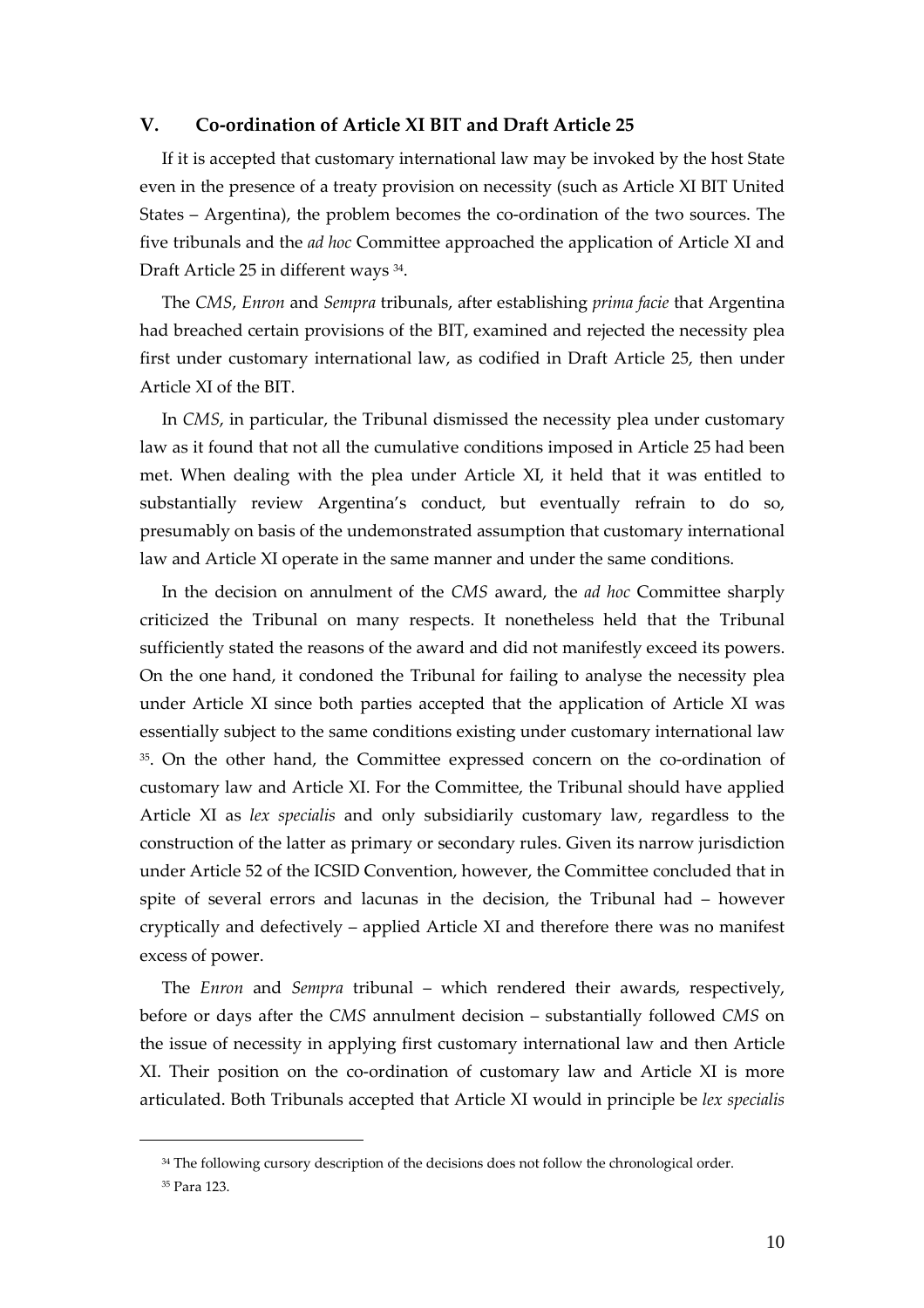#### **V. Co-ordination of Article XI BIT and Draft Article 25**

If it is accepted that customary international law may be invoked by the host State even in the presence of a treaty provision on necessity (such as Article XI BIT United States – Argentina), the problem becomes the co-ordination of the two sources. The five tribunals and the *ad hoc* Committee approached the application of Article XI and Draft Article 25 in different ways <sup>34</sup> .

The *CMS*, *Enron* and *Sempra* tribunals, after establishing *prima facie* that Argentina had breached certain provisions of the BIT, examined and rejected the necessity plea first under customary international law, as codified in Draft Article 25, then under Article XI of the BIT.

In *CMS*, in particular, the Tribunal dismissed the necessity plea under customary law as it found that not all the cumulative conditions imposed in Article 25 had been met. When dealing with the plea under Article XI, it held that it was entitled to substantially review Argentina's conduct, but eventually refrain to do so, presumably on basis of the undemonstrated assumption that customary international law and Article XI operate in the same manner and under the same conditions.

In the decision on annulment of the *CMS* award, the *ad hoc* Committee sharply criticized the Tribunal on many respects. It nonetheless held that the Tribunal sufficiently stated the reasons of the award and did not manifestly exceed its powers. On the one hand, it condoned the Tribunal for failing to analyse the necessity plea under Article XI since both parties accepted that the application of Article XI was essentially subject to the same conditions existing under customary international law <sup>35</sup>. On the other hand, the Committee expressed concern on the co-ordination of customary law and Article XI. For the Committee, the Tribunal should have applied Article XI as *lex specialis* and only subsidiarily customary law, regardless to the construction of the latter as primary or secondary rules. Given its narrow jurisdiction under Article 52 of the ICSID Convention, however, the Committee concluded that in spite of several errors and lacunas in the decision, the Tribunal had – however cryptically and defectively – applied Article XI and therefore there was no manifest excess of power.

The *Enron* and *Sempra* tribunal – which rendered their awards, respectively, before or days after the *CMS* annulment decision – substantially followed *CMS* on the issue of necessity in applying first customary international law and then Article XI. Their position on the co-ordination of customary law and Article XI is more articulated. Both Tribunals accepted that Article XI would in principle be *lex specialis*

<sup>&</sup>lt;sup>34</sup> The following cursory description of the decisions does not follow the chronological order.

<sup>35</sup> Para 123.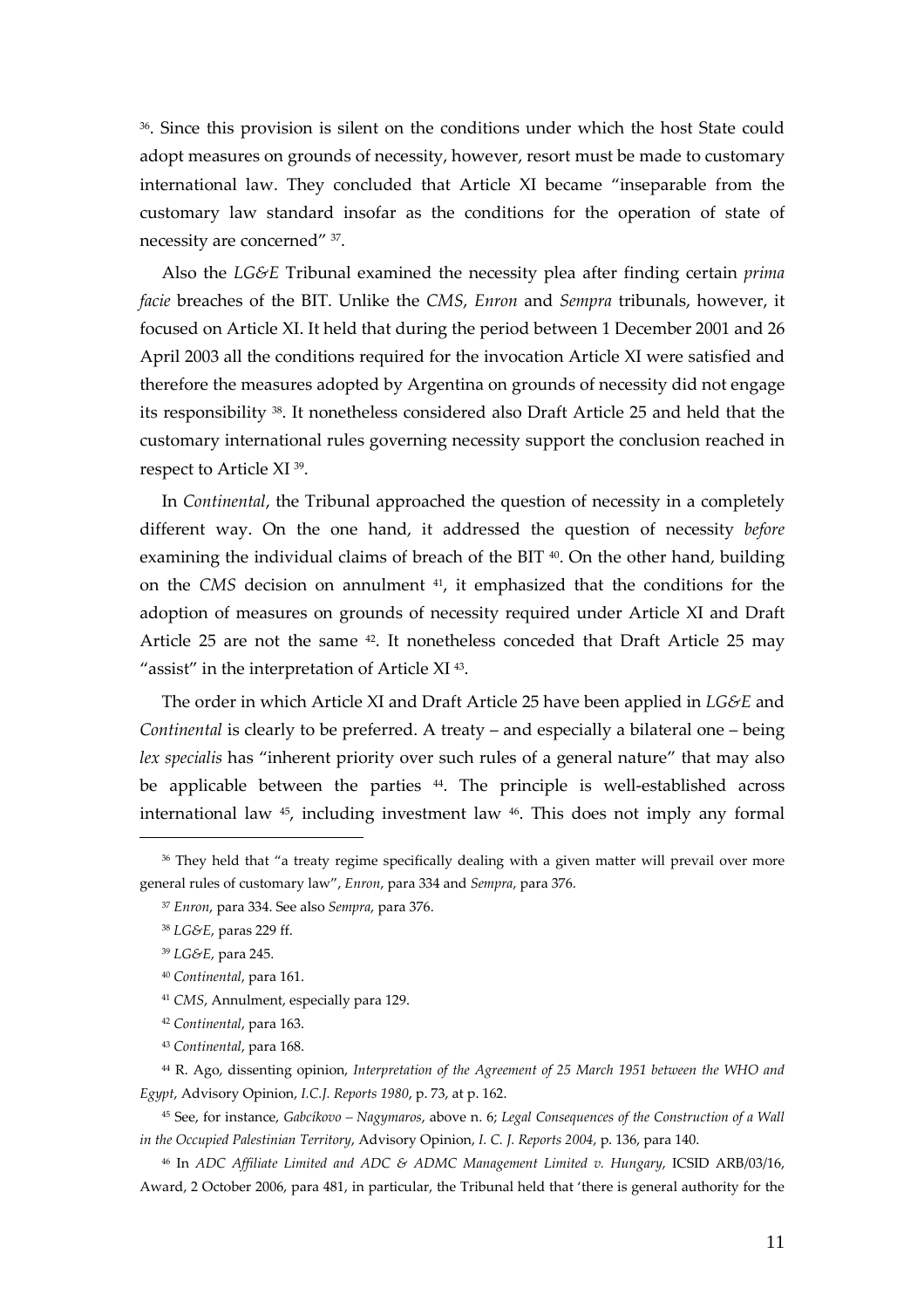<sup>36</sup>. Since this provision is silent on the conditions under which the host State could adopt measures on grounds of necessity, however, resort must be made to customary international law. They concluded that Article XI became "inseparable from the customary law standard insofar as the conditions for the operation of state of necessity are concerned" <sup>37</sup>.

Also the *LG&E* Tribunal examined the necessity plea after finding certain *prima facie* breaches of the BIT. Unlike the *CMS*, *Enron* and *Sempra* tribunals, however, it focused on Article XI. It held that during the period between 1 December 2001 and 26 April 2003 all the conditions required for the invocation Article XI were satisfied and therefore the measures adopted by Argentina on grounds of necessity did not engage its responsibility 38. It nonetheless considered also Draft Article 25 and held that the customary international rules governing necessity support the conclusion reached in respect to Article XI <sup>39</sup> .

In *Continental*, the Tribunal approached the question of necessity in a completely different way. On the one hand, it addressed the question of necessity *before* examining the individual claims of breach of the BIT  $40$ . On the other hand, building on the *CMS* decision on annulment <sup>41</sup>, it emphasized that the conditions for the adoption of measures on grounds of necessity required under Article XI and Draft Article 25 are not the same 42. It nonetheless conceded that Draft Article 25 may "assist" in the interpretation of Article XI <sup>43</sup> .

The order in which Article XI and Draft Article 25 have been applied in *LG&E* and *Continental* is clearly to be preferred. A treaty – and especially a bilateral one – being *lex specialis* has "inherent priority over such rules of a general nature" that may also be applicable between the parties 44. The principle is well-established across international law 45, including investment law 46. This does not imply any formal

<sup>&</sup>lt;sup>36</sup> They held that "a treaty regime specifically dealing with a given matter will prevail over more general rules of customary law", *Enron*, para 334 and *Sempra*, para 376.

<sup>37</sup> *Enron*, para 334. See also *Sempra*, para 376.

<sup>38</sup> *LG&E*, paras 229 ff.

<sup>39</sup> *LG&E*, para 245.

<sup>40</sup> *Continental*, para 161.

<sup>41</sup> *CMS*, Annulment, especially para 129.

<sup>42</sup> *Continental*, para 163.

<sup>43</sup> *Continental*, para 168.

<sup>44</sup> R. Ago, dissenting opinion, *Interpretation of the Agreement of 25 March 1951 between the WHO and Egypt*, Advisory Opinion, *I.C.J. Reports 1980*, p. 73, at p. 162.

<sup>45</sup> See, for instance, *Gabcíkovo – Nagymaros*, above n. 6; *Legal Consequences of the Construction of a Wall in the Occupied Palestinian Territory*, Advisory Opinion, *I. C. J. Reports 2004*, p. 136, para 140.

<sup>46</sup> In *ADC Affiliate Limited and ADC & ADMC Management Limited v. Hungary*, ICSID ARB/03/16, Award, 2 October 2006, para 481, in particular, the Tribunal held that 'there is general authority for the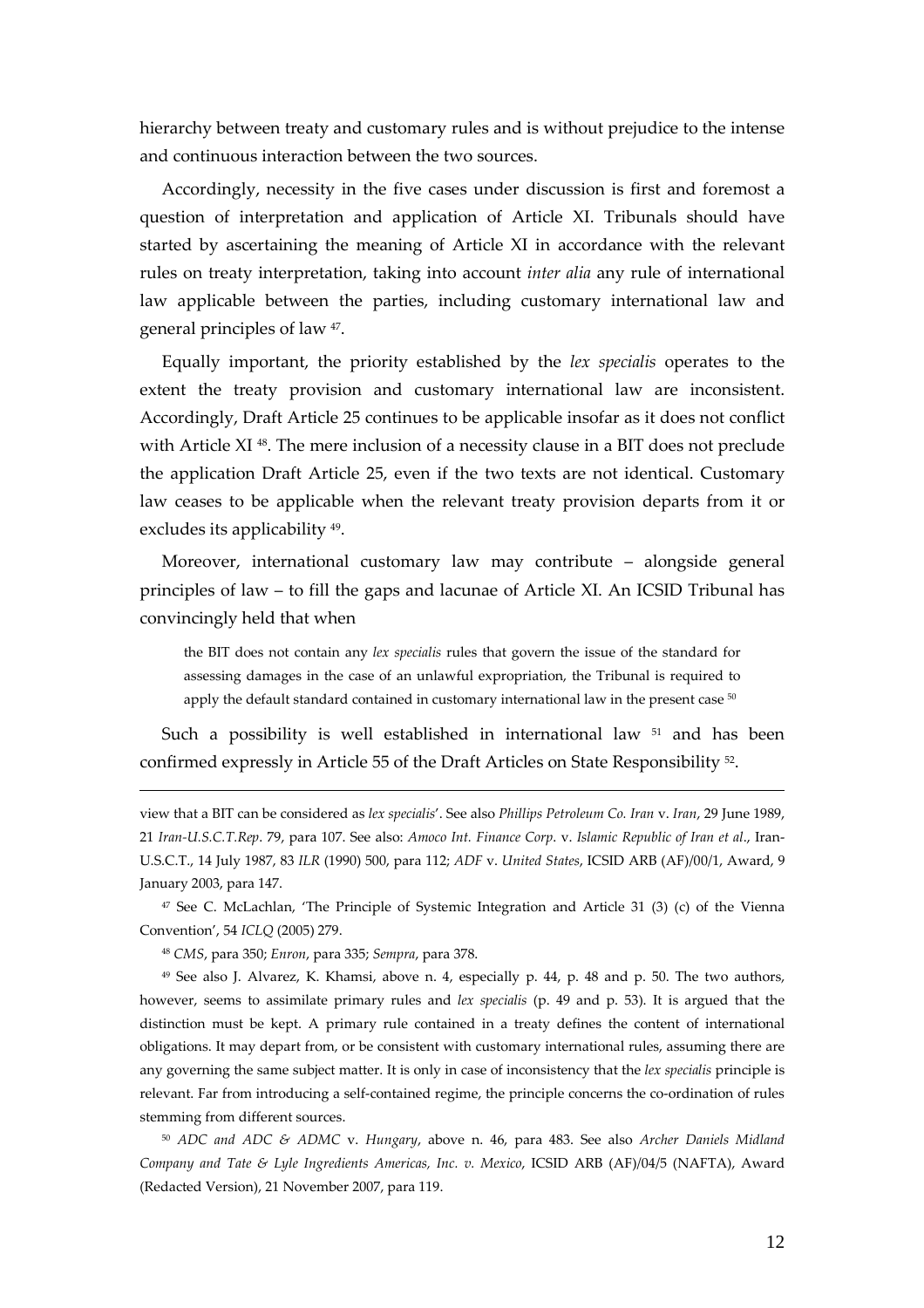hierarchy between treaty and customary rules and is without prejudice to the intense and continuous interaction between the two sources.

Accordingly, necessity in the five cases under discussion is first and foremost a question of interpretation and application of Article XI. Tribunals should have started by ascertaining the meaning of Article XI in accordance with the relevant rules on treaty interpretation, taking into account *inter alia* any rule of international law applicable between the parties, including customary international law and general principles of law <sup>47</sup> .

Equally important, the priority established by the *lex specialis* operates to the extent the treaty provision and customary international law are inconsistent. Accordingly, Draft Article 25 continues to be applicable insofar as it does not conflict with Article XI<sup>48</sup>. The mere inclusion of a necessity clause in a BIT does not preclude the application Draft Article 25, even if the two texts are not identical. Customary law ceases to be applicable when the relevant treaty provision departs from it or excludes its applicability <sup>49</sup>.

Moreover, international customary law may contribute – alongside general principles of law – to fill the gaps and lacunae of Article XI. An ICSID Tribunal has convincingly held that when

the BIT does not contain any *lex specialis* rules that govern the issue of the standard for assessing damages in the case of an unlawful expropriation, the Tribunal is required to apply the default standard contained in customary international law in the present case <sup>50</sup>

Such a possibility is well established in international law <sup>51</sup> and has been confirmed expressly in Article 55 of the Draft Articles on State Responsibility <sup>52</sup> .

view that a BIT can be considered as *lex specialis*'. See also *Phillips Petroleum Co. Iran* v. *Iran*, 29 June 1989, 21 *Iran-U.S.C.T.Rep*. 79, para 107. See also: *Amoco Int. Finance Corp*. v. *Islamic Republic of Iran et al*., Iran-U.S.C.T., 14 July 1987, 83 *ILR* (1990) 500, para 112; *ADF* v. *United States*, ICSID ARB (AF)/00/1, Award, 9 January 2003, para 147.

<sup>47</sup> See C. McLachlan, 'The Principle of Systemic Integration and Article 31 (3) (c) of the Vienna Convention', 54 *ICLQ* (2005) 279.

<sup>48</sup> *CMS*, para 350; *Enron*, para 335; *Sempra*, para 378.

 $\overline{a}$ 

<sup>49</sup> See also J. Alvarez, K. Khamsi, above n. 4, especially p. 44, p. 48 and p. 50. The two authors, however, seems to assimilate primary rules and *lex specialis* (p. 49 and p. 53). It is argued that the distinction must be kept. A primary rule contained in a treaty defines the content of international obligations. It may depart from, or be consistent with customary international rules, assuming there are any governing the same subject matter. It is only in case of inconsistency that the *lex specialis* principle is relevant. Far from introducing a self-contained regime, the principle concerns the co-ordination of rules stemming from different sources.

<sup>50</sup> *ADC and ADC & ADMC* v. *Hungary*, above n. 46, para 483. See also *Archer Daniels Midland Company and Tate & Lyle Ingredients Americas, Inc. v. Mexico*, ICSID ARB (AF)/04/5 (NAFTA), Award (Redacted Version), 21 November 2007, para 119.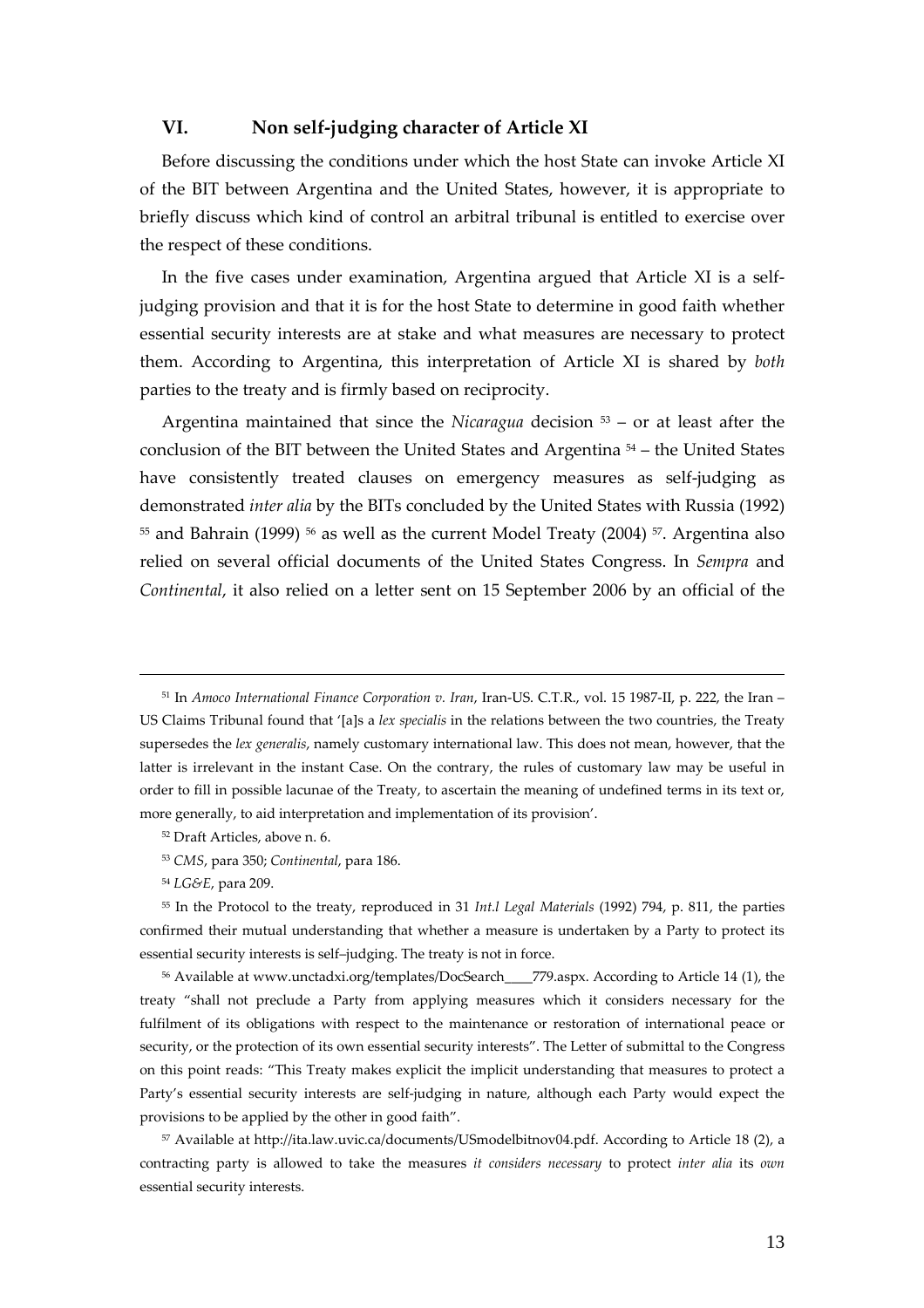# **VI. Non self-judging character of Article XI**

Before discussing the conditions under which the host State can invoke Article XI of the BIT between Argentina and the United States, however, it is appropriate to briefly discuss which kind of control an arbitral tribunal is entitled to exercise over the respect of these conditions.

In the five cases under examination, Argentina argued that Article XI is a selfjudging provision and that it is for the host State to determine in good faith whether essential security interests are at stake and what measures are necessary to protect them. According to Argentina, this interpretation of Article XI is shared by *both* parties to the treaty and is firmly based on reciprocity.

Argentina maintained that since the *Nicaragua* decision 53 – or at least after the conclusion of the BIT between the United States and Argentina 54 – the United States have consistently treated clauses on emergency measures as self-judging as demonstrated *inter alia* by the BITs concluded by the United States with Russia (1992)  $55$  and Bahrain (1999)  $56$  as well as the current Model Treaty (2004)  $57$ . Argentina also relied on several official documents of the United States Congress. In *Sempra* and *Continental*, it also relied on a letter sent on 15 September 2006 by an official of the

<sup>51</sup> In *Amoco International Finance Corporation v. Iran*, Iran-US. C.T.R., vol. 15 1987-II, p. 222, the Iran – US Claims Tribunal found that '[a]s a *lex specialis* in the relations between the two countries, the Treaty supersedes the *lex generalis*, namely customary international law. This does not mean, however, that the latter is irrelevant in the instant Case. On the contrary, the rules of customary law may be useful in order to fill in possible lacunae of the Treaty, to ascertain the meaning of undefined terms in its text or, more generally, to aid interpretation and implementation of its provision'.

- <sup>53</sup> *CMS*, para 350; *Continental*, para 186.
- <sup>54</sup> *LG&E*, para 209.

 $\overline{a}$ 

<sup>55</sup> In the Protocol to the treaty, reproduced in 31 *Int.l Legal Materials* (1992) 794, p. 811, the parties confirmed their mutual understanding that whether a measure is undertaken by a Party to protect its essential security interests is self–judging. The treaty is not in force.

<sup>56</sup> Available at www.unctadxi.org/templates/DocSearch\_\_\_\_779.aspx. According to Article 14 (1), the treaty "shall not preclude a Party from applying measures which it considers necessary for the fulfilment of its obligations with respect to the maintenance or restoration of international peace or security, or the protection of its own essential security interests". The Letter of submittal to the Congress on this point reads: "This Treaty makes explicit the implicit understanding that measures to protect a Party's essential security interests are self-judging in nature, although each Party would expect the provisions to be applied by the other in good faith".

<sup>57</sup> Available at http://ita.law.uvic.ca/documents/USmodelbitnov04.pdf. According to Article 18 (2), a contracting party is allowed to take the measures *it considers necessary* to protect *inter alia* its *own* essential security interests.

<sup>52</sup> Draft Articles, above n. 6.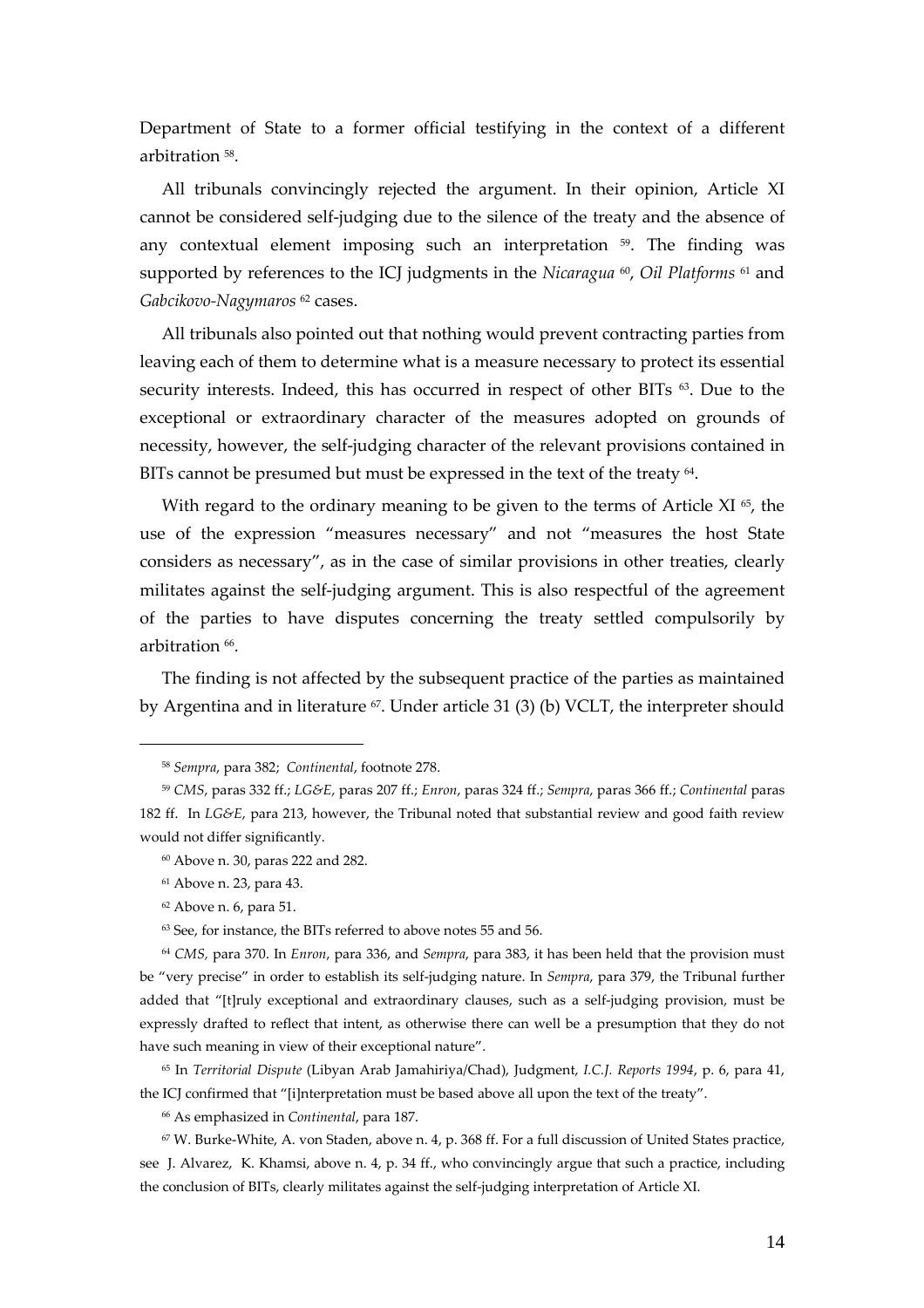Department of State to a former official testifying in the context of a different arbitration <sup>58</sup> .

All tribunals convincingly rejected the argument. In their opinion, Article XI cannot be considered self-judging due to the silence of the treaty and the absence of any contextual element imposing such an interpretation 59. The finding was supported by references to the ICJ judgments in the *Nicaragua* <sup>60</sup> , *Oil Platforms* 61 and *Gabcikovo-Nagymaros* <sup>62</sup> cases.

All tribunals also pointed out that nothing would prevent contracting parties from leaving each of them to determine what is a measure necessary to protect its essential security interests. Indeed, this has occurred in respect of other BITs <sup>63</sup>. Due to the exceptional or extraordinary character of the measures adopted on grounds of necessity, however, the self-judging character of the relevant provisions contained in BITs cannot be presumed but must be expressed in the text of the treaty  $^{64}$ .

With regard to the ordinary meaning to be given to the terms of Article XI<sup>65</sup>, the use of the expression "measures necessary" and not "measures the host State considers as necessary", as in the case of similar provisions in other treaties, clearly militates against the self-judging argument. This is also respectful of the agreement of the parties to have disputes concerning the treaty settled compulsorily by arbitration <sup>66</sup> .

The finding is not affected by the subsequent practice of the parties as maintained by Argentina and in literature  $67$ . Under article 31 (3) (b) VCLT, the interpreter should

 $\overline{a}$ 

<sup>66</sup> As emphasized in *Continental*, para 187.

<sup>67</sup> W. Burke-White, A. von Staden, above n. 4, p. 368 ff. For a full discussion of United States practice, see J. Alvarez, K. Khamsi, above n. 4, p. 34 ff., who convincingly argue that such a practice, including the conclusion of BITs, clearly militates against the self-judging interpretation of Article XI.

<sup>58</sup> *Sempra*, para 382; *Continental*, footnote 278.

<sup>59</sup> *CMS*, paras 332 ff.; *LG&E*, paras 207 ff.; *Enron*, paras 324 ff.; *Sempra*, paras 366 ff.; *Continental* paras 182 ff. In *LG&E*, para 213, however, the Tribunal noted that substantial review and good faith review would not differ significantly.

<sup>60</sup> Above n. 30, paras 222 and 282.

<sup>61</sup> Above n. 23, para 43.

<sup>62</sup> Above n. 6, para 51.

<sup>63</sup> See, for instance, the BITs referred to above notes 55 and 56.

<sup>64</sup> *CMS,* para 370. In *Enron*, para 336, and *Sempra*, para 383, it has been held that the provision must be "very precise" in order to establish its self-judging nature. In *Sempra*, para 379, the Tribunal further added that "[t]ruly exceptional and extraordinary clauses, such as a self-judging provision, must be expressly drafted to reflect that intent, as otherwise there can well be a presumption that they do not have such meaning in view of their exceptional nature".

<sup>65</sup> In *Territorial Dispute* (Libyan Arab Jamahiriya/Chad), Judgment, *I.C.J. Reports 1994*, p. 6, para 41, the ICJ confirmed that "[i]nterpretation must be based above all upon the text of the treaty".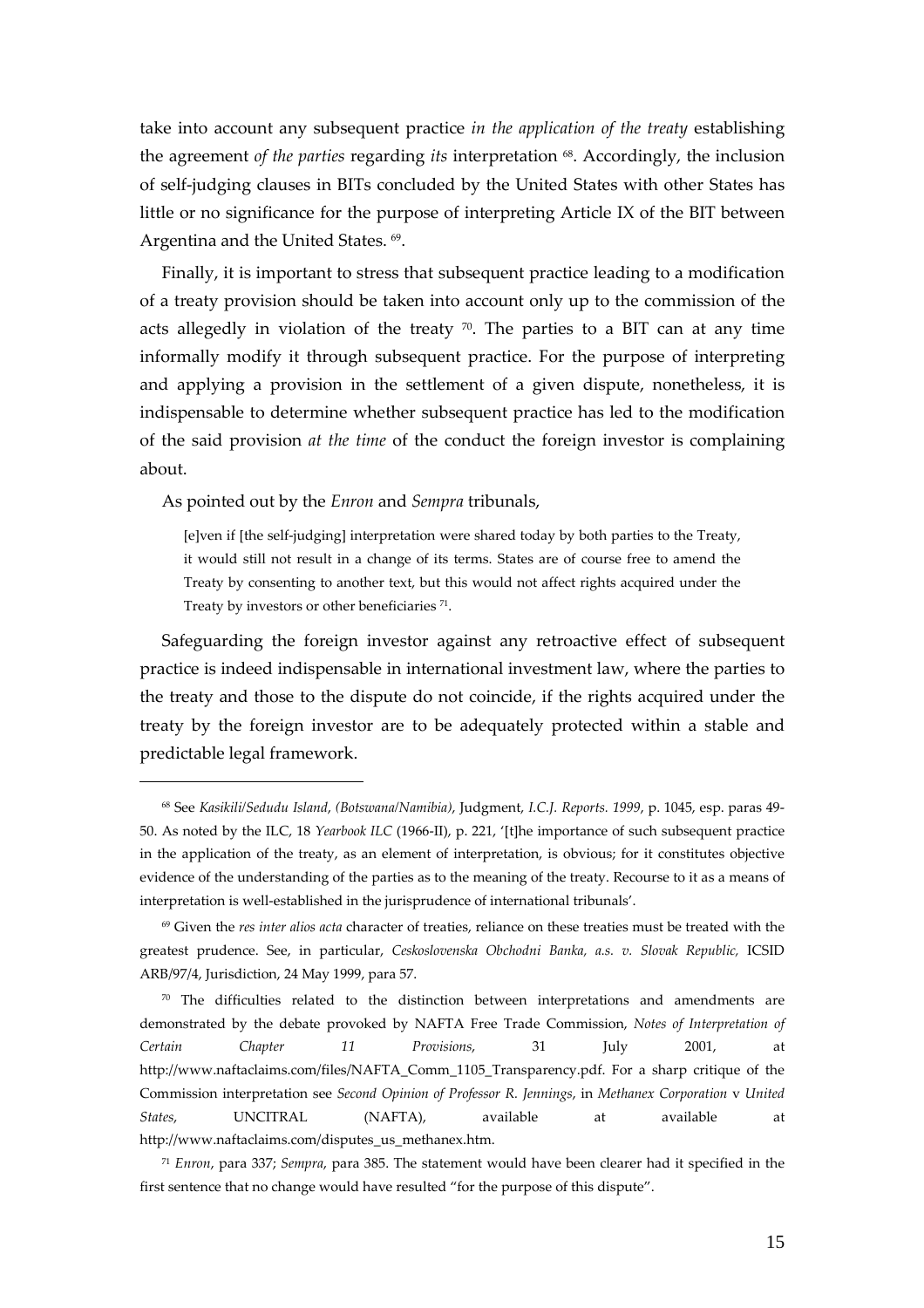take into account any subsequent practice *in the application of the treaty* establishing the agreement *of the parties* regarding *its* interpretation 68. Accordingly, the inclusion of self-judging clauses in BITs concluded by the United States with other States has little or no significance for the purpose of interpreting Article IX of the BIT between Argentina and the United States.  $69$ .

Finally, it is important to stress that subsequent practice leading to a modification of a treaty provision should be taken into account only up to the commission of the acts allegedly in violation of the treaty  $\frac{70}{2}$ . The parties to a BIT can at any time informally modify it through subsequent practice. For the purpose of interpreting and applying a provision in the settlement of a given dispute, nonetheless, it is indispensable to determine whether subsequent practice has led to the modification of the said provision *at the time* of the conduct the foreign investor is complaining about.

As pointed out by the *Enron* and *Sempra* tribunals,

 $\overline{a}$ 

[e]ven if [the self-judging] interpretation were shared today by both parties to the Treaty, it would still not result in a change of its terms. States are of course free to amend the Treaty by consenting to another text, but this would not affect rights acquired under the Treaty by investors or other beneficiaries <sup>71</sup> .

Safeguarding the foreign investor against any retroactive effect of subsequent practice is indeed indispensable in international investment law, where the parties to the treaty and those to the dispute do not coincide, if the rights acquired under the treaty by the foreign investor are to be adequately protected within a stable and predictable legal framework.

<sup>68</sup> See *Kasikili/Sedudu Island*, *(Botswana/Namibia)*, Judgment, *I.C.J. Reports. 1999*, p. 1045, esp. paras 49- 50. As noted by the ILC, 18 *Yearbook ILC* (1966-II), p. 221, '[t]he importance of such subsequent practice in the application of the treaty, as an element of interpretation, is obvious; for it constitutes objective evidence of the understanding of the parties as to the meaning of the treaty. Recourse to it as a means of interpretation is well-established in the jurisprudence of international tribunals'.

<sup>69</sup> Given the *res inter alios acta* character of treaties, reliance on these treaties must be treated with the greatest prudence. See, in particular, *Ceskoslovenska Obchodni Banka, a.s. v. Slovak Republic,* ICSID ARB/97/4, Jurisdiction, 24 May 1999, para 57.

 $70$  The difficulties related to the distinction between interpretations and amendments are demonstrated by the debate provoked by NAFTA Free Trade Commission, *Notes of Interpretation of Certain Chapter 11 Provisions*, 31 July 2001, at http://www.naftaclaims.com/files/NAFTA\_Comm\_1105\_Transparency.pdf. For a sharp critique of the Commission interpretation see *Second Opinion of Professor R. Jennings*, in *Methanex Corporation* v *United States*, UNCITRAL (NAFTA), available at available at http://www.naftaclaims.com/disputes\_us\_methanex.htm.

<sup>71</sup> *Enron*, para 337; *Sempra*, para 385. The statement would have been clearer had it specified in the first sentence that no change would have resulted "for the purpose of this dispute".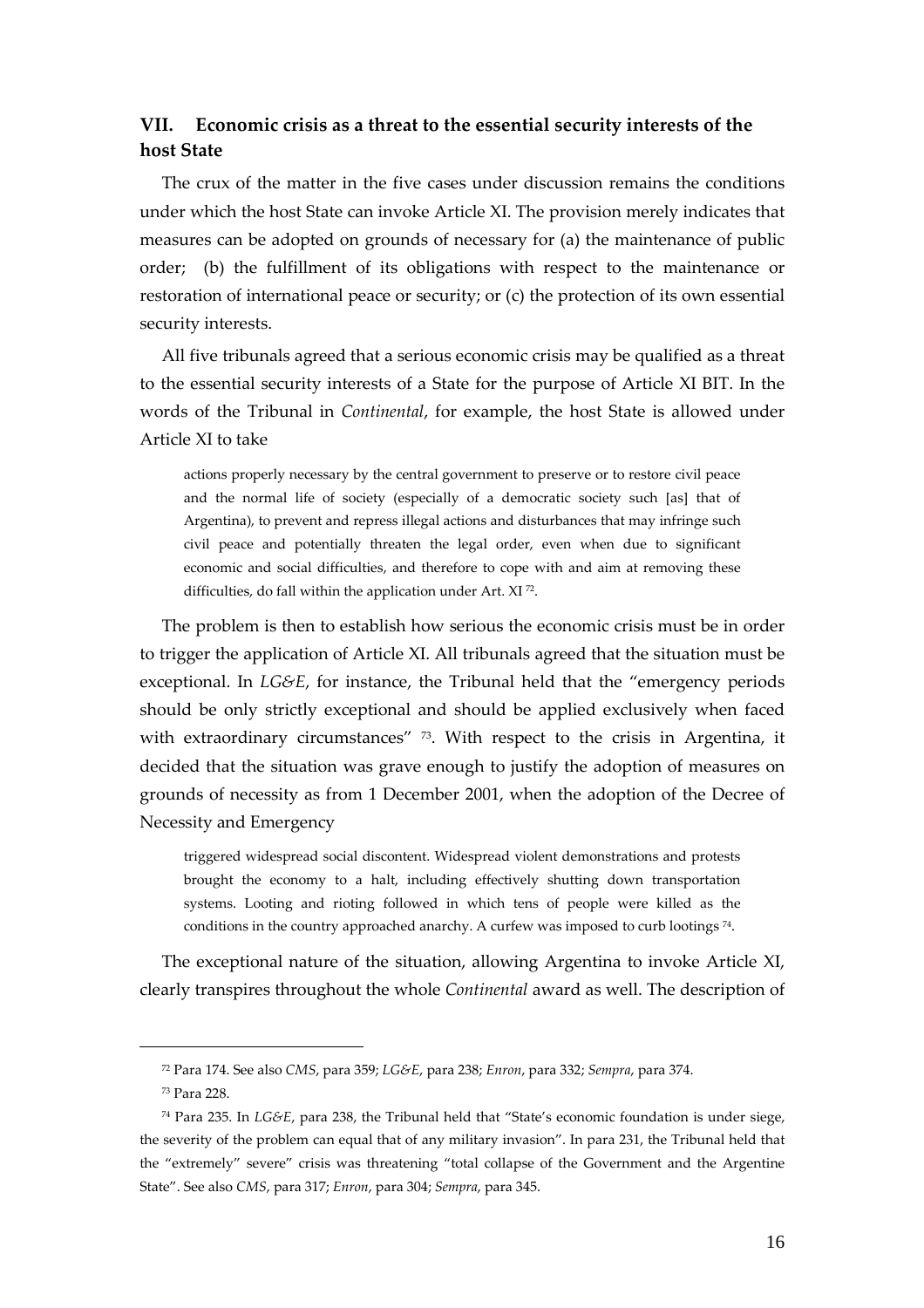# **VII. Economic crisis as a threat to the essential security interests of the host State**

The crux of the matter in the five cases under discussion remains the conditions under which the host State can invoke Article XI. The provision merely indicates that measures can be adopted on grounds of necessary for (a) the maintenance of public order; (b) the fulfillment of its obligations with respect to the maintenance or restoration of international peace or security; or (c) the protection of its own essential security interests.

All five tribunals agreed that a serious economic crisis may be qualified as a threat to the essential security interests of a State for the purpose of Article XI BIT. In the words of the Tribunal in *Continental*, for example, the host State is allowed under Article XI to take

actions properly necessary by the central government to preserve or to restore civil peace and the normal life of society (especially of a democratic society such [as] that of Argentina), to prevent and repress illegal actions and disturbances that may infringe such civil peace and potentially threaten the legal order, even when due to significant economic and social difficulties, and therefore to cope with and aim at removing these difficulties, do fall within the application under Art. XI <sup>72</sup> .

The problem is then to establish how serious the economic crisis must be in order to trigger the application of Article XI. All tribunals agreed that the situation must be exceptional. In *LG&E*, for instance, the Tribunal held that the "emergency periods should be only strictly exceptional and should be applied exclusively when faced with extraordinary circumstances" <sup>73</sup>. With respect to the crisis in Argentina, it decided that the situation was grave enough to justify the adoption of measures on grounds of necessity as from 1 December 2001, when the adoption of the Decree of Necessity and Emergency

triggered widespread social discontent. Widespread violent demonstrations and protests brought the economy to a halt, including effectively shutting down transportation systems. Looting and rioting followed in which tens of people were killed as the conditions in the country approached anarchy. A curfew was imposed to curb lootings <sup>74</sup> .

The exceptional nature of the situation, allowing Argentina to invoke Article XI, clearly transpires throughout the whole *Continental* award as well. The description of

<sup>72</sup> Para 174. See also *CMS*, para 359; *LG&E*, para 238; *Enron*, para 332; *Sempra*, para 374.

<sup>73</sup> Para 228.

<sup>74</sup> Para 235. In *LG&E*, para 238, the Tribunal held that "State's economic foundation is under siege, the severity of the problem can equal that of any military invasion". In para 231, the Tribunal held that the "extremely" severe" crisis was threatening "total collapse of the Government and the Argentine State". See also *CMS*, para 317; *Enron*, para 304; *Sempra*, para 345.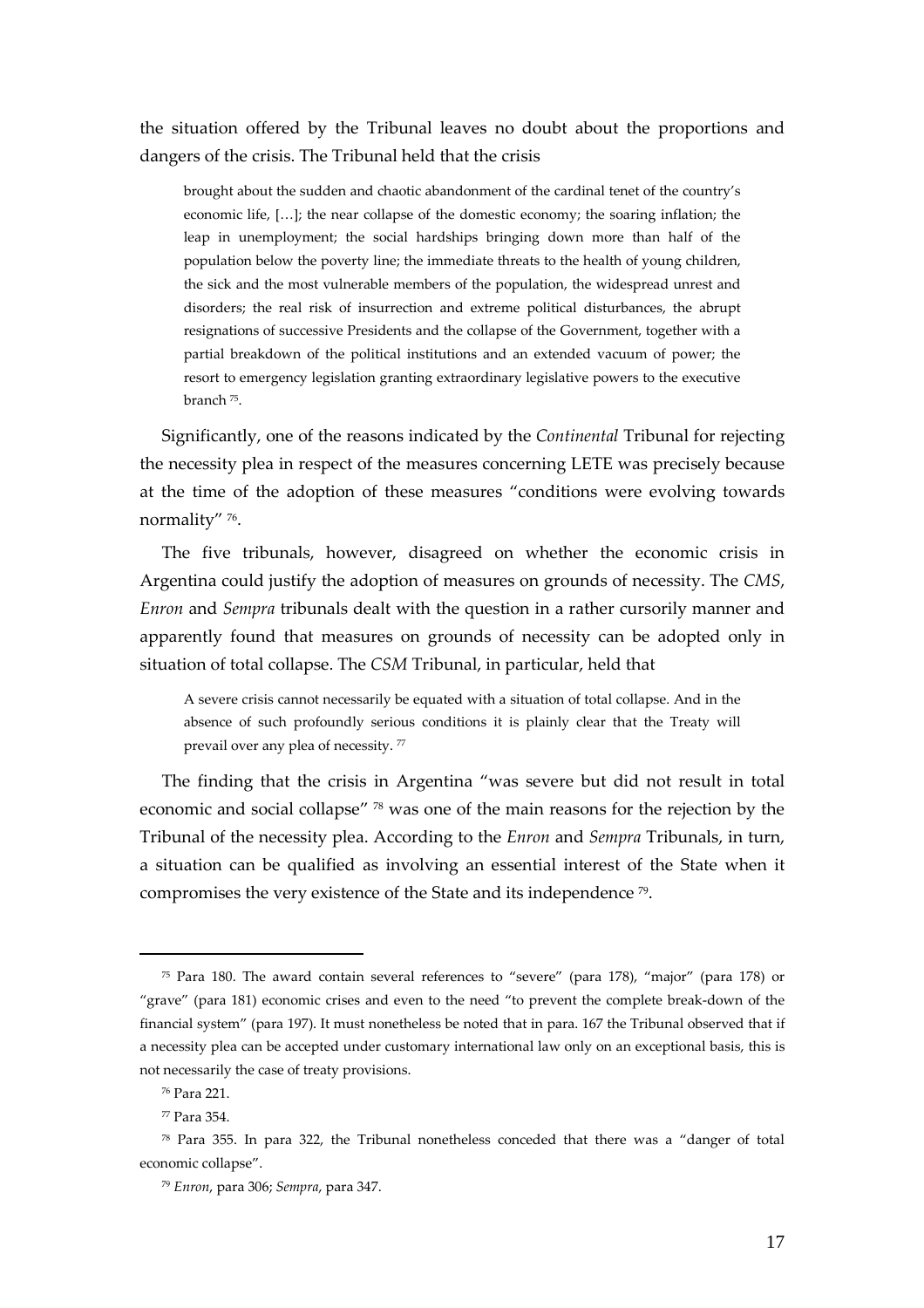the situation offered by the Tribunal leaves no doubt about the proportions and dangers of the crisis. The Tribunal held that the crisis

brought about the sudden and chaotic abandonment of the cardinal tenet of the country's economic life, […]; the near collapse of the domestic economy; the soaring inflation; the leap in unemployment; the social hardships bringing down more than half of the population below the poverty line; the immediate threats to the health of young children, the sick and the most vulnerable members of the population, the widespread unrest and disorders; the real risk of insurrection and extreme political disturbances, the abrupt resignations of successive Presidents and the collapse of the Government, together with a partial breakdown of the political institutions and an extended vacuum of power; the resort to emergency legislation granting extraordinary legislative powers to the executive branch <sup>75</sup> .

Significantly, one of the reasons indicated by the *Continental* Tribunal for rejecting the necessity plea in respect of the measures concerning LETE was precisely because at the time of the adoption of these measures "conditions were evolving towards normality"<sup>76</sup>.

The five tribunals, however, disagreed on whether the economic crisis in Argentina could justify the adoption of measures on grounds of necessity. The *CMS*, *Enron* and *Sempra* tribunals dealt with the question in a rather cursorily manner and apparently found that measures on grounds of necessity can be adopted only in situation of total collapse. The *CSM* Tribunal, in particular, held that

A severe crisis cannot necessarily be equated with a situation of total collapse. And in the absence of such profoundly serious conditions it is plainly clear that the Treaty will prevail over any plea of necessity. <sup>77</sup>

The finding that the crisis in Argentina "was severe but did not result in total economic and social collapse" 78 was one of the main reasons for the rejection by the Tribunal of the necessity plea. According to the *Enron* and *Sempra* Tribunals, in turn, a situation can be qualified as involving an essential interest of the State when it compromises the very existence of the State and its independence <sup>79</sup> .

<sup>75</sup> Para 180. The award contain several references to "severe" (para 178), "major" (para 178) or "grave" (para 181) economic crises and even to the need "to prevent the complete break-down of the financial system" (para 197). It must nonetheless be noted that in para. 167 the Tribunal observed that if a necessity plea can be accepted under customary international law only on an exceptional basis, this is not necessarily the case of treaty provisions.

<sup>76</sup> Para 221.

<sup>77</sup> Para 354.

<sup>78</sup> Para 355. In para 322, the Tribunal nonetheless conceded that there was a "danger of total economic collapse".

<sup>79</sup> *Enron*, para 306; *Sempra*, para 347.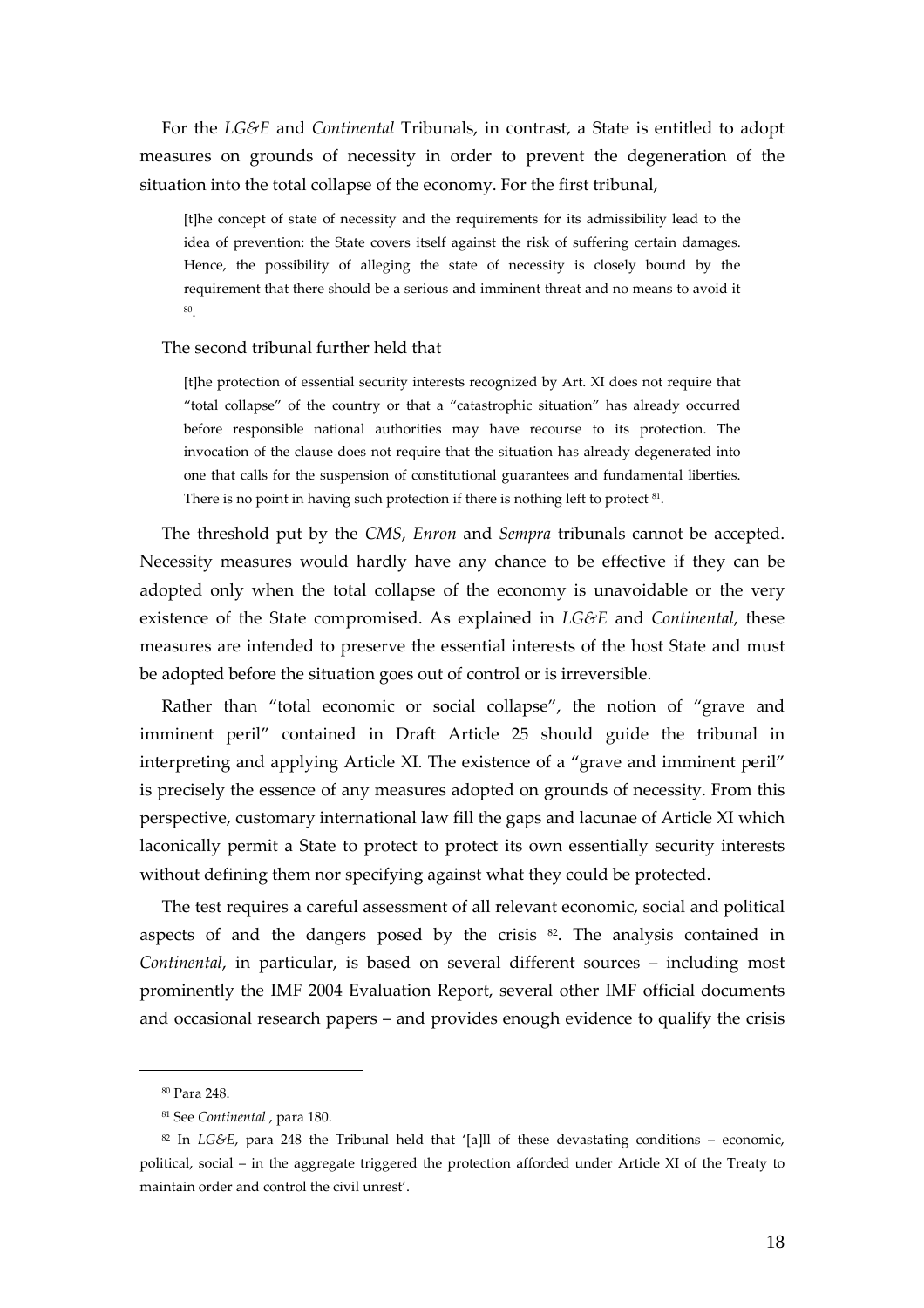For the *LG&E* and *Continental* Tribunals, in contrast, a State is entitled to adopt measures on grounds of necessity in order to prevent the degeneration of the situation into the total collapse of the economy. For the first tribunal,

[t]he concept of state of necessity and the requirements for its admissibility lead to the idea of prevention: the State covers itself against the risk of suffering certain damages. Hence, the possibility of alleging the state of necessity is closely bound by the requirement that there should be a serious and imminent threat and no means to avoid it 80 .

#### The second tribunal further held that

[t]he protection of essential security interests recognized by Art. XI does not require that "total collapse" of the country or that a "catastrophic situation" has already occurred before responsible national authorities may have recourse to its protection. The invocation of the clause does not require that the situation has already degenerated into one that calls for the suspension of constitutional guarantees and fundamental liberties. There is no point in having such protection if there is nothing left to protect <sup>81</sup>.

The threshold put by the *CMS*, *Enron* and *Sempra* tribunals cannot be accepted. Necessity measures would hardly have any chance to be effective if they can be adopted only when the total collapse of the economy is unavoidable or the very existence of the State compromised. As explained in *LG&E* and *Continental*, these measures are intended to preserve the essential interests of the host State and must be adopted before the situation goes out of control or is irreversible.

Rather than "total economic or social collapse", the notion of "grave and imminent peril" contained in Draft Article 25 should guide the tribunal in interpreting and applying Article XI. The existence of a "grave and imminent peril" is precisely the essence of any measures adopted on grounds of necessity. From this perspective, customary international law fill the gaps and lacunae of Article XI which laconically permit a State to protect to protect its own essentially security interests without defining them nor specifying against what they could be protected.

The test requires a careful assessment of all relevant economic, social and political aspects of and the dangers posed by the crisis  $82$ . The analysis contained in *Continental*, in particular, is based on several different sources – including most prominently the IMF 2004 Evaluation Report, several other IMF official documents and occasional research papers – and provides enough evidence to qualify the crisis

<sup>80</sup> Para 248.

<sup>81</sup> See *Continental* , para 180.

<sup>82</sup> In *LG&E*, para 248 the Tribunal held that '[a]ll of these devastating conditions – economic, political, social – in the aggregate triggered the protection afforded under Article XI of the Treaty to maintain order and control the civil unrest'.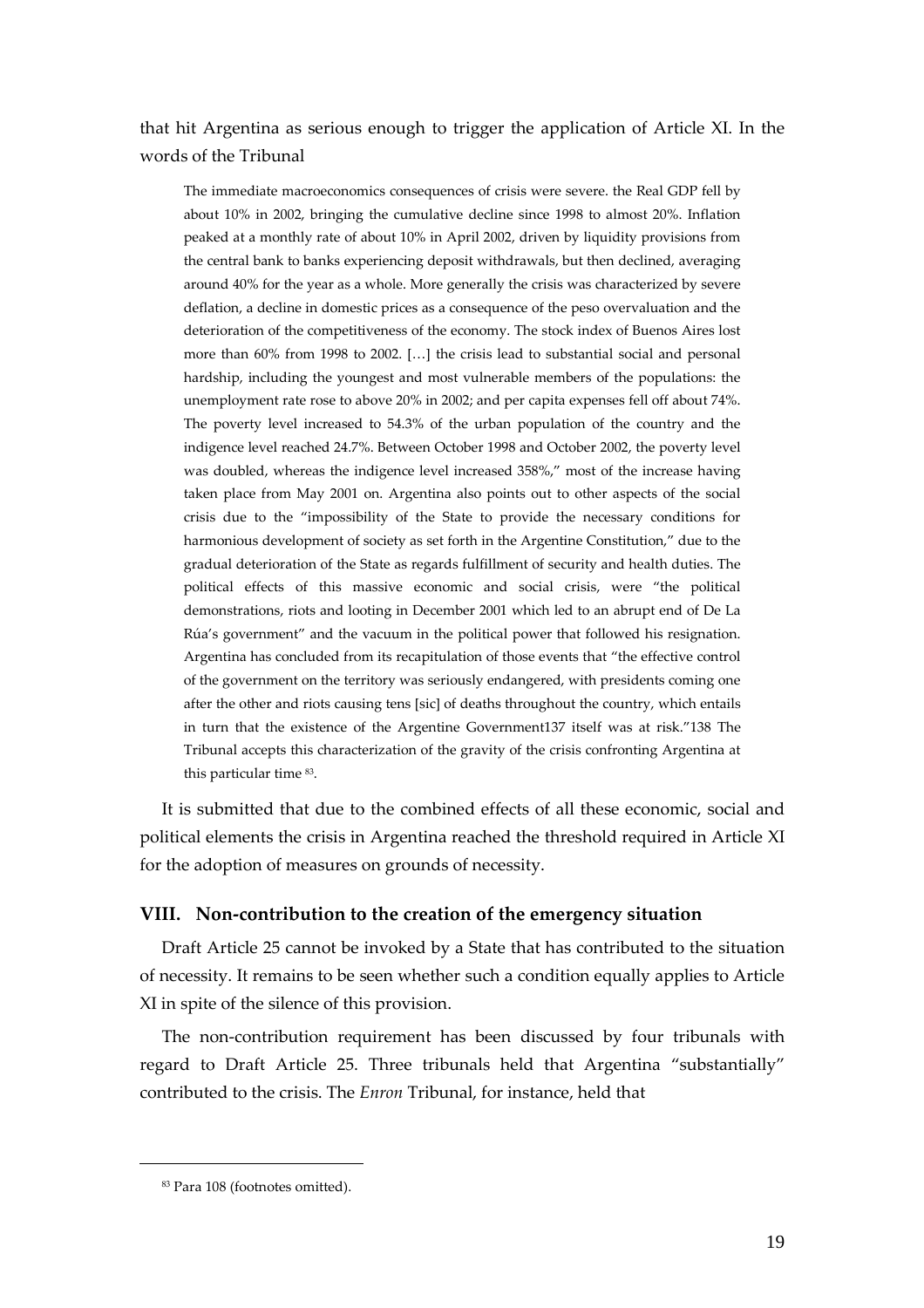# that hit Argentina as serious enough to trigger the application of Article XI. In the words of the Tribunal

The immediate macroeconomics consequences of crisis were severe. the Real GDP fell by about 10% in 2002, bringing the cumulative decline since 1998 to almost 20%. Inflation peaked at a monthly rate of about 10% in April 2002, driven by liquidity provisions from the central bank to banks experiencing deposit withdrawals, but then declined, averaging around 40% for the year as a whole. More generally the crisis was characterized by severe deflation, a decline in domestic prices as a consequence of the peso overvaluation and the deterioration of the competitiveness of the economy. The stock index of Buenos Aires lost more than 60% from 1998 to 2002. […] the crisis lead to substantial social and personal hardship, including the youngest and most vulnerable members of the populations: the unemployment rate rose to above 20% in 2002; and per capita expenses fell off about 74%. The poverty level increased to 54.3% of the urban population of the country and the indigence level reached 24.7%. Between October 1998 and October 2002, the poverty level was doubled, whereas the indigence level increased 358%," most of the increase having taken place from May 2001 on. Argentina also points out to other aspects of the social crisis due to the "impossibility of the State to provide the necessary conditions for harmonious development of society as set forth in the Argentine Constitution," due to the gradual deterioration of the State as regards fulfillment of security and health duties. The political effects of this massive economic and social crisis, were "the political demonstrations, riots and looting in December 2001 which led to an abrupt end of De La Rúa's government" and the vacuum in the political power that followed his resignation. Argentina has concluded from its recapitulation of those events that "the effective control of the government on the territory was seriously endangered, with presidents coming one after the other and riots causing tens [sic] of deaths throughout the country, which entails in turn that the existence of the Argentine Government137 itself was at risk."138 The Tribunal accepts this characterization of the gravity of the crisis confronting Argentina at this particular time <sup>83</sup> .

It is submitted that due to the combined effects of all these economic, social and political elements the crisis in Argentina reached the threshold required in Article XI for the adoption of measures on grounds of necessity.

#### **VIII. Non-contribution to the creation of the emergency situation**

Draft Article 25 cannot be invoked by a State that has contributed to the situation of necessity. It remains to be seen whether such a condition equally applies to Article XI in spite of the silence of this provision.

The non-contribution requirement has been discussed by four tribunals with regard to Draft Article 25. Three tribunals held that Argentina "substantially" contributed to the crisis. The *Enron* Tribunal, for instance, held that

<sup>83</sup> Para 108 (footnotes omitted).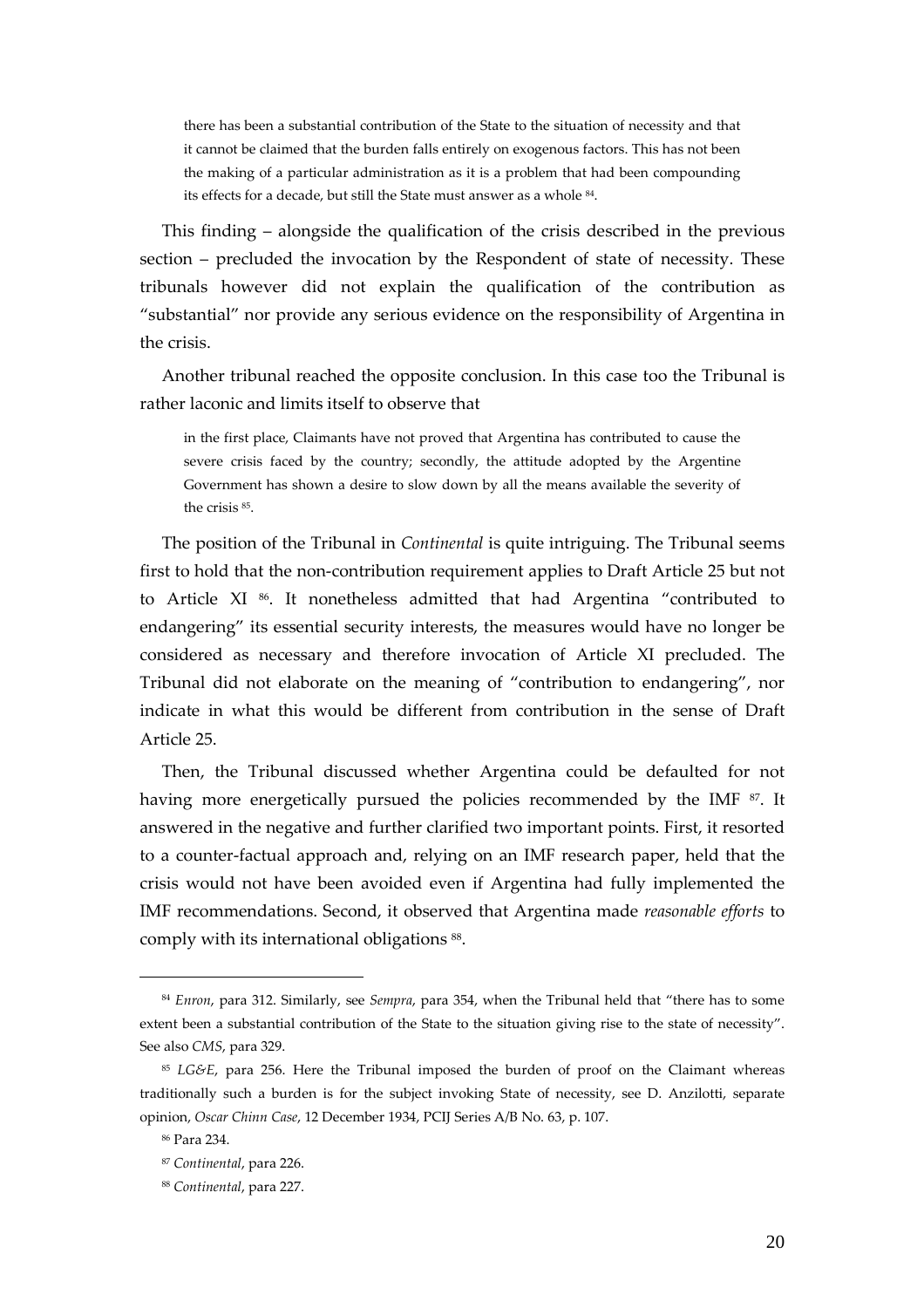there has been a substantial contribution of the State to the situation of necessity and that it cannot be claimed that the burden falls entirely on exogenous factors. This has not been the making of a particular administration as it is a problem that had been compounding its effects for a decade, but still the State must answer as a whole <sup>84</sup> .

This finding – alongside the qualification of the crisis described in the previous section – precluded the invocation by the Respondent of state of necessity. These tribunals however did not explain the qualification of the contribution as "substantial" nor provide any serious evidence on the responsibility of Argentina in the crisis.

Another tribunal reached the opposite conclusion. In this case too the Tribunal is rather laconic and limits itself to observe that

in the first place, Claimants have not proved that Argentina has contributed to cause the severe crisis faced by the country; secondly, the attitude adopted by the Argentine Government has shown a desire to slow down by all the means available the severity of the crisis <sup>85</sup> .

The position of the Tribunal in *Continental* is quite intriguing. The Tribunal seems first to hold that the non-contribution requirement applies to Draft Article 25 but not to Article XI 86. It nonetheless admitted that had Argentina "contributed to endangering" its essential security interests, the measures would have no longer be considered as necessary and therefore invocation of Article XI precluded. The Tribunal did not elaborate on the meaning of "contribution to endangering", nor indicate in what this would be different from contribution in the sense of Draft Article 25.

Then, the Tribunal discussed whether Argentina could be defaulted for not having more energetically pursued the policies recommended by the IMF  $^{87}$ . It answered in the negative and further clarified two important points. First, it resorted to a counter-factual approach and, relying on an IMF research paper, held that the crisis would not have been avoided even if Argentina had fully implemented the IMF recommendations. Second, it observed that Argentina made *reasonable efforts* to comply with its international obligations  $^{88}$ .

<sup>84</sup> *Enron*, para 312. Similarly, see *Sempra*, para 354, when the Tribunal held that "there has to some extent been a substantial contribution of the State to the situation giving rise to the state of necessity". See also *CMS*, para 329.

<sup>85</sup> *LG&E*, para 256. Here the Tribunal imposed the burden of proof on the Claimant whereas traditionally such a burden is for the subject invoking State of necessity, see D. Anzilotti, separate opinion, *Oscar Chinn Case*, 12 December 1934, PCIJ Series A/B No. 63, p. 107.

<sup>86</sup> Para 234.

<sup>87</sup> *Continental*, para 226.

<sup>88</sup> *Continental*, para 227.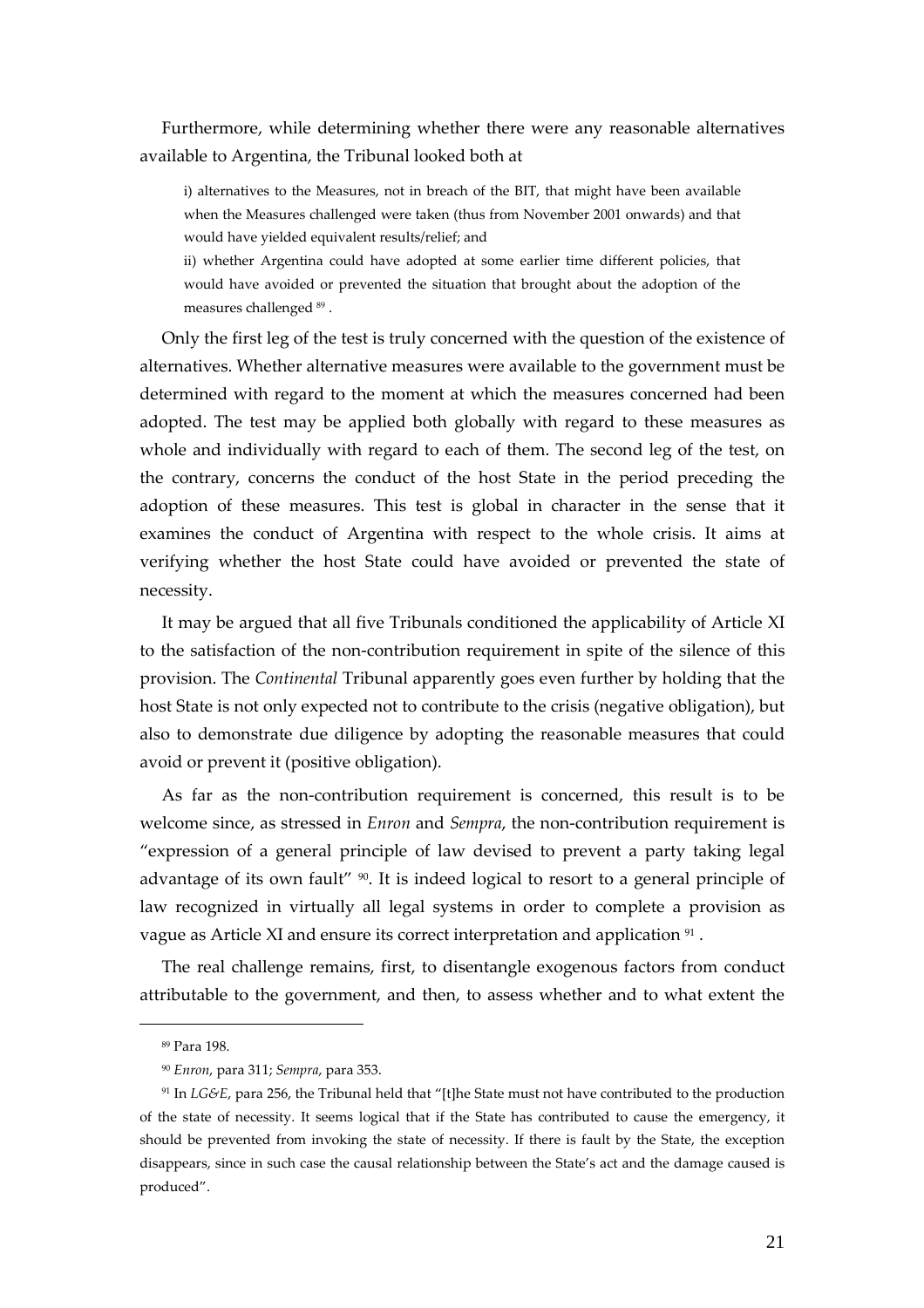Furthermore, while determining whether there were any reasonable alternatives available to Argentina, the Tribunal looked both at

i) alternatives to the Measures, not in breach of the BIT, that might have been available when the Measures challenged were taken (thus from November 2001 onwards) and that would have yielded equivalent results/relief; and

ii) whether Argentina could have adopted at some earlier time different policies, that would have avoided or prevented the situation that brought about the adoption of the measures challenged  $^{89}$  .

Only the first leg of the test is truly concerned with the question of the existence of alternatives. Whether alternative measures were available to the government must be determined with regard to the moment at which the measures concerned had been adopted. The test may be applied both globally with regard to these measures as whole and individually with regard to each of them. The second leg of the test, on the contrary, concerns the conduct of the host State in the period preceding the adoption of these measures. This test is global in character in the sense that it examines the conduct of Argentina with respect to the whole crisis. It aims at verifying whether the host State could have avoided or prevented the state of necessity.

It may be argued that all five Tribunals conditioned the applicability of Article XI to the satisfaction of the non-contribution requirement in spite of the silence of this provision. The *Continental* Tribunal apparently goes even further by holding that the host State is not only expected not to contribute to the crisis (negative obligation), but also to demonstrate due diligence by adopting the reasonable measures that could avoid or prevent it (positive obligation).

As far as the non-contribution requirement is concerned, this result is to be welcome since, as stressed in *Enron* and *Sempra*, the non-contribution requirement is "expression of a general principle of law devised to prevent a party taking legal advantage of its own fault" <sup>90</sup>. It is indeed logical to resort to a general principle of law recognized in virtually all legal systems in order to complete a provision as vague as Article XI and ensure its correct interpretation and application  $91$  .

The real challenge remains, first, to disentangle exogenous factors from conduct attributable to the government, and then, to assess whether and to what extent the

<sup>89</sup> Para 198.

<sup>90</sup> *Enron*, para 311; *Sempra*, para 353.

<sup>91</sup> In *LG&E*, para 256, the Tribunal held that "[t]he State must not have contributed to the production of the state of necessity. It seems logical that if the State has contributed to cause the emergency, it should be prevented from invoking the state of necessity. If there is fault by the State, the exception disappears, since in such case the causal relationship between the State's act and the damage caused is produced".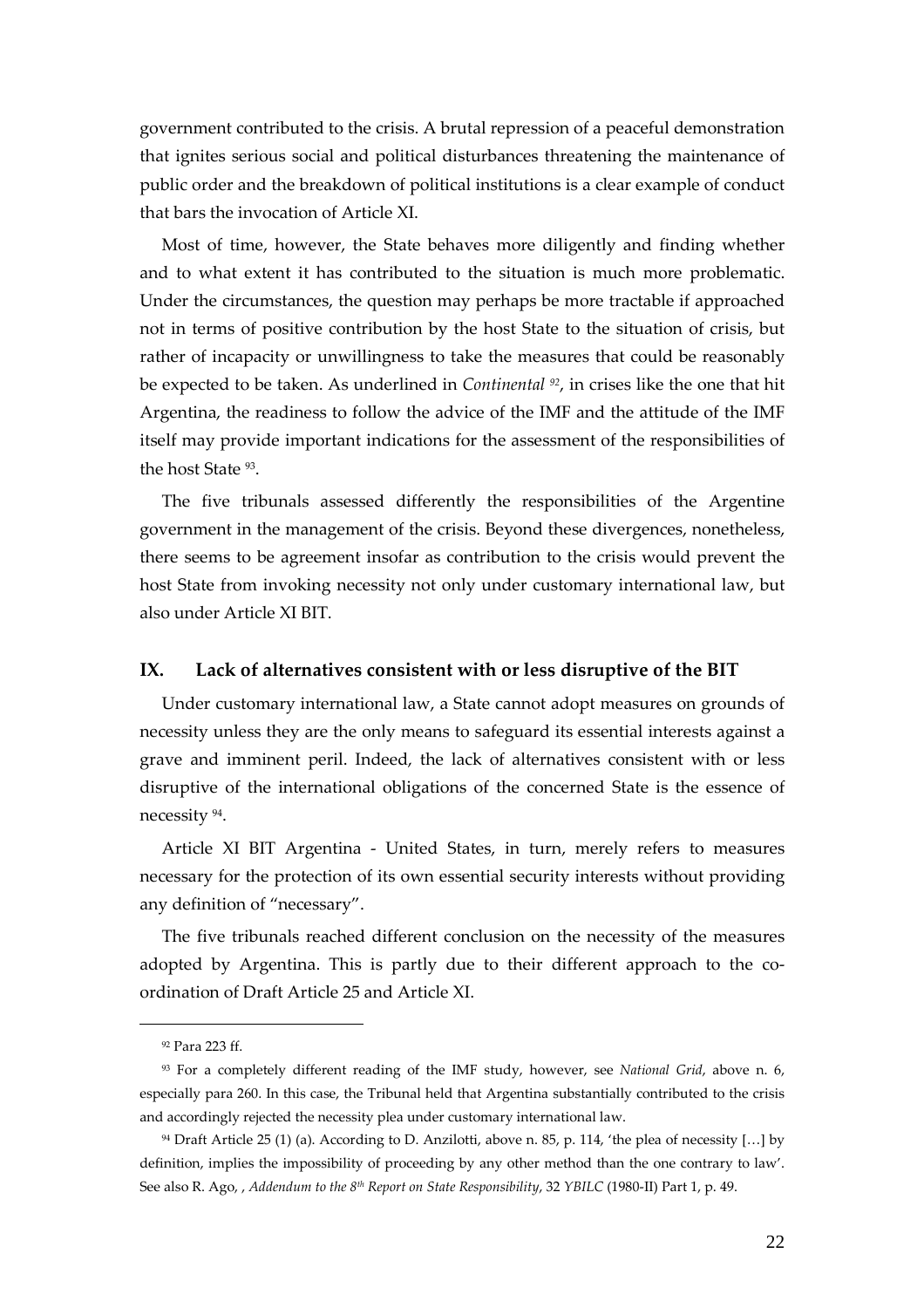government contributed to the crisis. A brutal repression of a peaceful demonstration that ignites serious social and political disturbances threatening the maintenance of public order and the breakdown of political institutions is a clear example of conduct that bars the invocation of Article XI.

Most of time, however, the State behaves more diligently and finding whether and to what extent it has contributed to the situation is much more problematic. Under the circumstances, the question may perhaps be more tractable if approached not in terms of positive contribution by the host State to the situation of crisis, but rather of incapacity or unwillingness to take the measures that could be reasonably be expected to be taken. As underlined in *Continental 92*, in crises like the one that hit Argentina, the readiness to follow the advice of the IMF and the attitude of the IMF itself may provide important indications for the assessment of the responsibilities of the host State <sup>93</sup>.

The five tribunals assessed differently the responsibilities of the Argentine government in the management of the crisis. Beyond these divergences, nonetheless, there seems to be agreement insofar as contribution to the crisis would prevent the host State from invoking necessity not only under customary international law, but also under Article XI BIT.

# **IX. Lack of alternatives consistent with or less disruptive of the BIT**

Under customary international law, a State cannot adopt measures on grounds of necessity unless they are the only means to safeguard its essential interests against a grave and imminent peril. Indeed, the lack of alternatives consistent with or less disruptive of the international obligations of the concerned State is the essence of necessity <sup>94</sup> .

Article XI BIT Argentina - United States, in turn, merely refers to measures necessary for the protection of its own essential security interests without providing any definition of "necessary".

The five tribunals reached different conclusion on the necessity of the measures adopted by Argentina. This is partly due to their different approach to the coordination of Draft Article 25 and Article XI.

<sup>92</sup> Para 223 ff.

<sup>93</sup> For a completely different reading of the IMF study, however, see *National Grid*, above n. 6, especially para 260. In this case, the Tribunal held that Argentina substantially contributed to the crisis and accordingly rejected the necessity plea under customary international law.

 $94$  Draft Article 25 (1) (a). According to D. Anzilotti, above n. 85, p. 114, 'the plea of necessity [...] by definition, implies the impossibility of proceeding by any other method than the one contrary to law'. See also R. Ago, , *Addendum to the 8th Report on State Responsibility*, 32 *YBILC* (1980-II) Part 1, p. 49.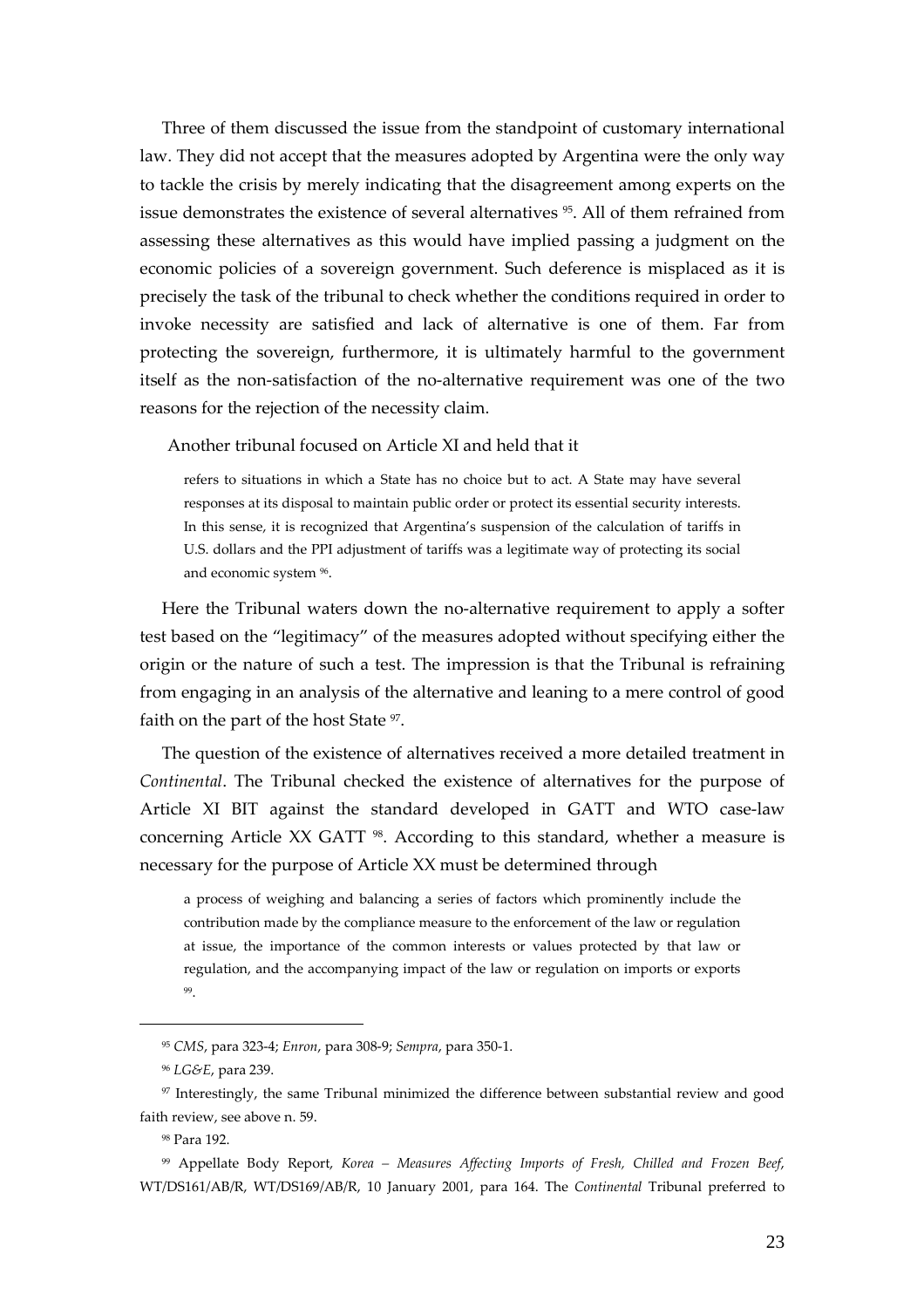Three of them discussed the issue from the standpoint of customary international law. They did not accept that the measures adopted by Argentina were the only way to tackle the crisis by merely indicating that the disagreement among experts on the issue demonstrates the existence of several alternatives <sup>95</sup>. All of them refrained from assessing these alternatives as this would have implied passing a judgment on the economic policies of a sovereign government. Such deference is misplaced as it is precisely the task of the tribunal to check whether the conditions required in order to invoke necessity are satisfied and lack of alternative is one of them. Far from protecting the sovereign, furthermore, it is ultimately harmful to the government itself as the non-satisfaction of the no-alternative requirement was one of the two reasons for the rejection of the necessity claim.

Another tribunal focused on Article XI and held that it

refers to situations in which a State has no choice but to act. A State may have several responses at its disposal to maintain public order or protect its essential security interests. In this sense, it is recognized that Argentina's suspension of the calculation of tariffs in U.S. dollars and the PPI adjustment of tariffs was a legitimate way of protecting its social and economic system <sup>96</sup> .

Here the Tribunal waters down the no-alternative requirement to apply a softer test based on the "legitimacy" of the measures adopted without specifying either the origin or the nature of such a test. The impression is that the Tribunal is refraining from engaging in an analysis of the alternative and leaning to a mere control of good faith on the part of the host State <sup>97</sup>.

The question of the existence of alternatives received a more detailed treatment in *Continental*. The Tribunal checked the existence of alternatives for the purpose of Article XI BIT against the standard developed in GATT and WTO case-law concerning Article XX GATT <sup>98</sup>. According to this standard, whether a measure is necessary for the purpose of Article XX must be determined through

a process of weighing and balancing a series of factors which prominently include the contribution made by the compliance measure to the enforcement of the law or regulation at issue, the importance of the common interests or values protected by that law or regulation, and the accompanying impact of the law or regulation on imports or exports 99 .

<sup>95</sup> *CMS*, para 323-4; *Enron*, para 308-9; *Sempra*, para 350-1.

<sup>96</sup> *LG&E*, para 239.

<sup>&</sup>lt;sup>97</sup> Interestingly, the same Tribunal minimized the difference between substantial review and good faith review, see above n. 59.

<sup>98</sup> Para 192.

<sup>99</sup> Appellate Body Report, *Korea – Measures Affecting Imports of Fresh, Chilled and Frozen Beef*, WT/DS161/AB/R, WT/DS169/AB/R, 10 January 2001, para 164. The *Continental* Tribunal preferred to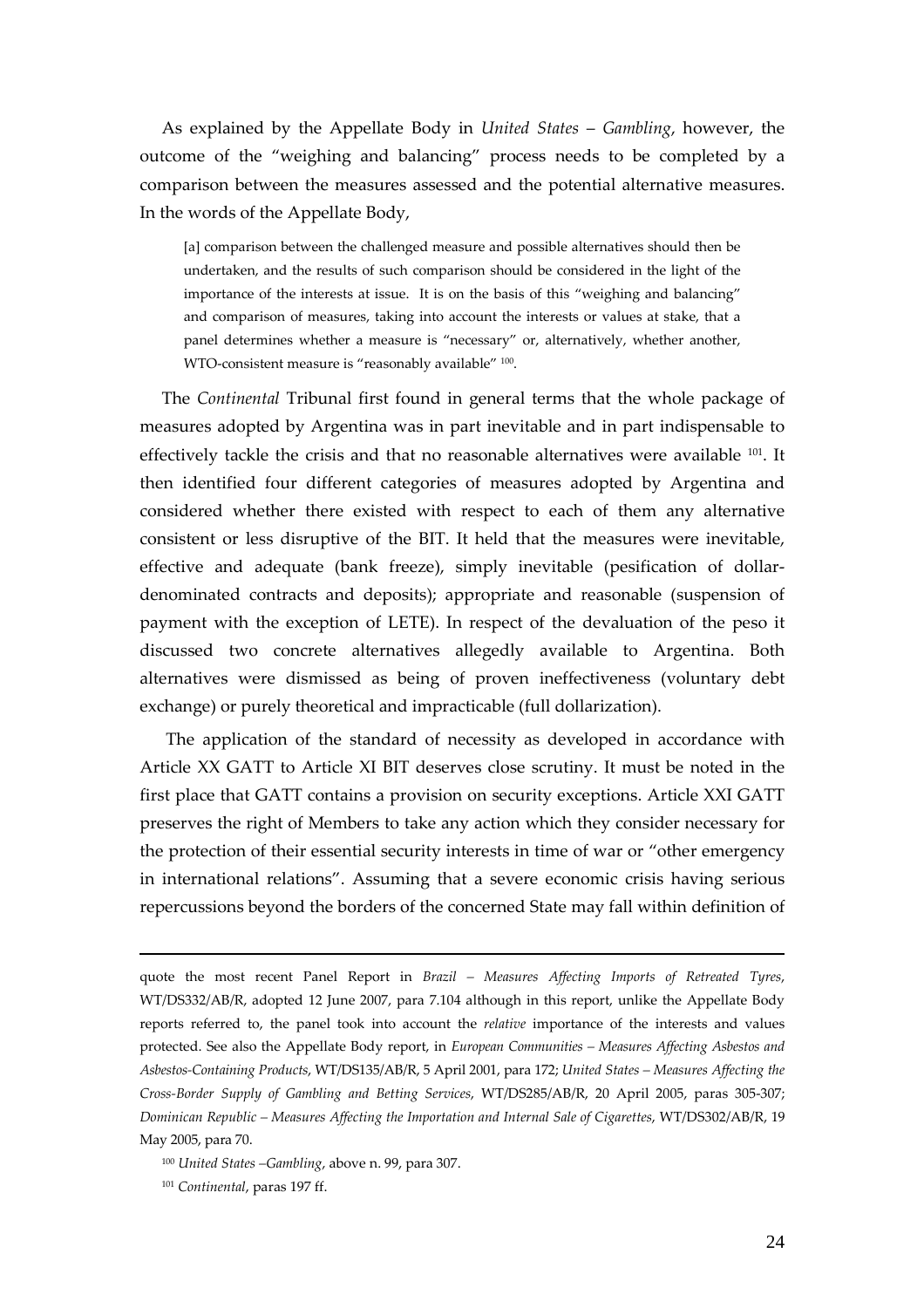As explained by the Appellate Body in *United States* – *Gambling*, however, the outcome of the "weighing and balancing" process needs to be completed by a comparison between the measures assessed and the potential alternative measures. In the words of the Appellate Body,

[a] comparison between the challenged measure and possible alternatives should then be undertaken, and the results of such comparison should be considered in the light of the importance of the interests at issue. It is on the basis of this "weighing and balancing" and comparison of measures, taking into account the interests or values at stake, that a panel determines whether a measure is "necessary" or, alternatively, whether another, WTO-consistent measure is "reasonably available"  $^{100}$ .

The *Continental* Tribunal first found in general terms that the whole package of measures adopted by Argentina was in part inevitable and in part indispensable to effectively tackle the crisis and that no reasonable alternatives were available  $101$ . It then identified four different categories of measures adopted by Argentina and considered whether there existed with respect to each of them any alternative consistent or less disruptive of the BIT. It held that the measures were inevitable, effective and adequate (bank freeze), simply inevitable (pesification of dollardenominated contracts and deposits); appropriate and reasonable (suspension of payment with the exception of LETE). In respect of the devaluation of the peso it discussed two concrete alternatives allegedly available to Argentina. Both alternatives were dismissed as being of proven ineffectiveness (voluntary debt exchange) or purely theoretical and impracticable (full dollarization).

 The application of the standard of necessity as developed in accordance with Article XX GATT to Article XI BIT deserves close scrutiny. It must be noted in the first place that GATT contains a provision on security exceptions. Article XXI GATT preserves the right of Members to take any action which they consider necessary for the protection of their essential security interests in time of war or "other emergency in international relations". Assuming that a severe economic crisis having serious repercussions beyond the borders of the concerned State may fall within definition of

quote the most recent Panel Report in *Brazil – Measures Affecting Imports of Retreated Tyres*, WT/DS332/AB/R, adopted 12 June 2007, para 7.104 although in this report, unlike the Appellate Body reports referred to, the panel took into account the *relative* importance of the interests and values protected. See also the Appellate Body report, in *European Communities – Measures Affecting Asbestos and Asbestos-Containing Products*, WT/DS135/AB/R, 5 April 2001, para 172; *United States – Measures Affecting the Cross-Border Supply of Gambling and Betting Services*, WT/DS285/AB/R, 20 April 2005, paras 305-307; *Dominican Republic – Measures Affecting the Importation and Internal Sale of Cigarettes*, WT/DS302/AB/R, 19 May 2005, para 70.

<sup>100</sup> *United States –Gambling*, above n. 99, para 307.

<sup>101</sup> *Continental*, paras 197 ff.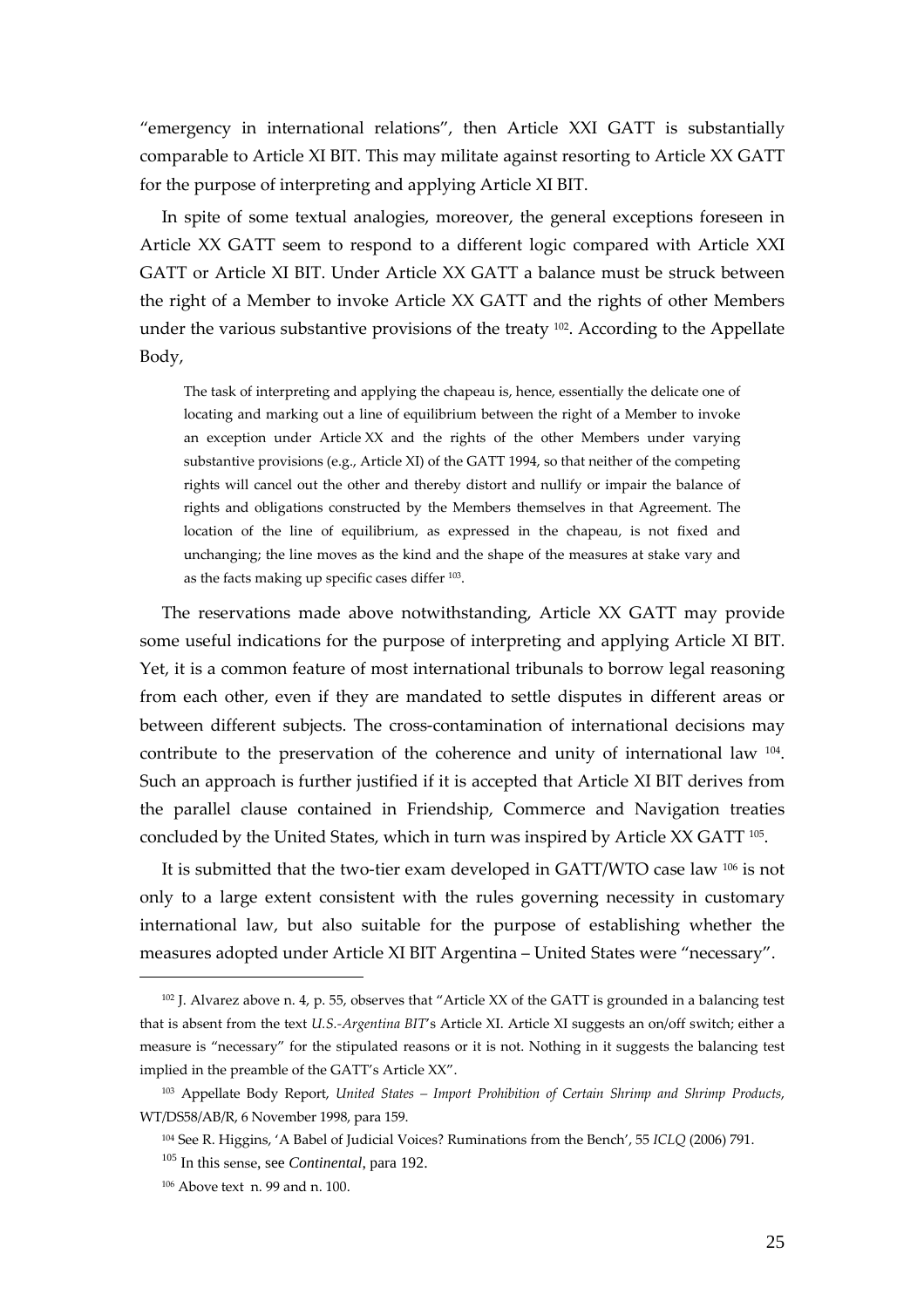"emergency in international relations", then Article XXI GATT is substantially comparable to Article XI BIT. This may militate against resorting to Article XX GATT for the purpose of interpreting and applying Article XI BIT.

In spite of some textual analogies, moreover, the general exceptions foreseen in Article XX GATT seem to respond to a different logic compared with Article XXI GATT or Article XI BIT. Under Article XX GATT a balance must be struck between the right of a Member to invoke Article XX GATT and the rights of other Members under the various substantive provisions of the treaty 102. According to the Appellate Body,

The task of interpreting and applying the chapeau is, hence, essentially the delicate one of locating and marking out a line of equilibrium between the right of a Member to invoke an exception under Article XX and the rights of the other Members under varying substantive provisions (e.g., Article XI) of the GATT 1994, so that neither of the competing rights will cancel out the other and thereby distort and nullify or impair the balance of rights and obligations constructed by the Members themselves in that Agreement. The location of the line of equilibrium, as expressed in the chapeau, is not fixed and unchanging; the line moves as the kind and the shape of the measures at stake vary and as the facts making up specific cases differ <sup>103</sup> .

The reservations made above notwithstanding, Article XX GATT may provide some useful indications for the purpose of interpreting and applying Article XI BIT. Yet, it is a common feature of most international tribunals to borrow legal reasoning from each other, even if they are mandated to settle disputes in different areas or between different subjects. The cross-contamination of international decisions may contribute to the preservation of the coherence and unity of international law  $104$ . Such an approach is further justified if it is accepted that Article XI BIT derives from the parallel clause contained in Friendship, Commerce and Navigation treaties concluded by the United States, which in turn was inspired by Article XX GATT <sup>105</sup> .

It is submitted that the two-tier exam developed in GATT/WTO case law 106 is not only to a large extent consistent with the rules governing necessity in customary international law, but also suitable for the purpose of establishing whether the measures adopted under Article XI BIT Argentina – United States were "necessary".

<sup>&</sup>lt;sup>102</sup> J. Alvarez above n. 4, p. 55, observes that "Article XX of the GATT is grounded in a balancing test that is absent from the text *U.S.-Argentina BIT*'s Article XI. Article XI suggests an on/off switch; either a measure is "necessary" for the stipulated reasons or it is not. Nothing in it suggests the balancing test implied in the preamble of the GATT's Article XX".

<sup>103</sup> Appellate Body Report, *United States – Import Prohibition of Certain Shrimp and Shrimp Products*, WT/DS58/AB/R, 6 November 1998, para 159.

<sup>104</sup> See R. Higgins, 'A Babel of Judicial Voices? Ruminations from the Bench', 55 *ICLQ* (2006) 791.

<sup>105</sup> In this sense, see *Continental*, para 192.

<sup>106</sup> Above text n. 99 and n. 100.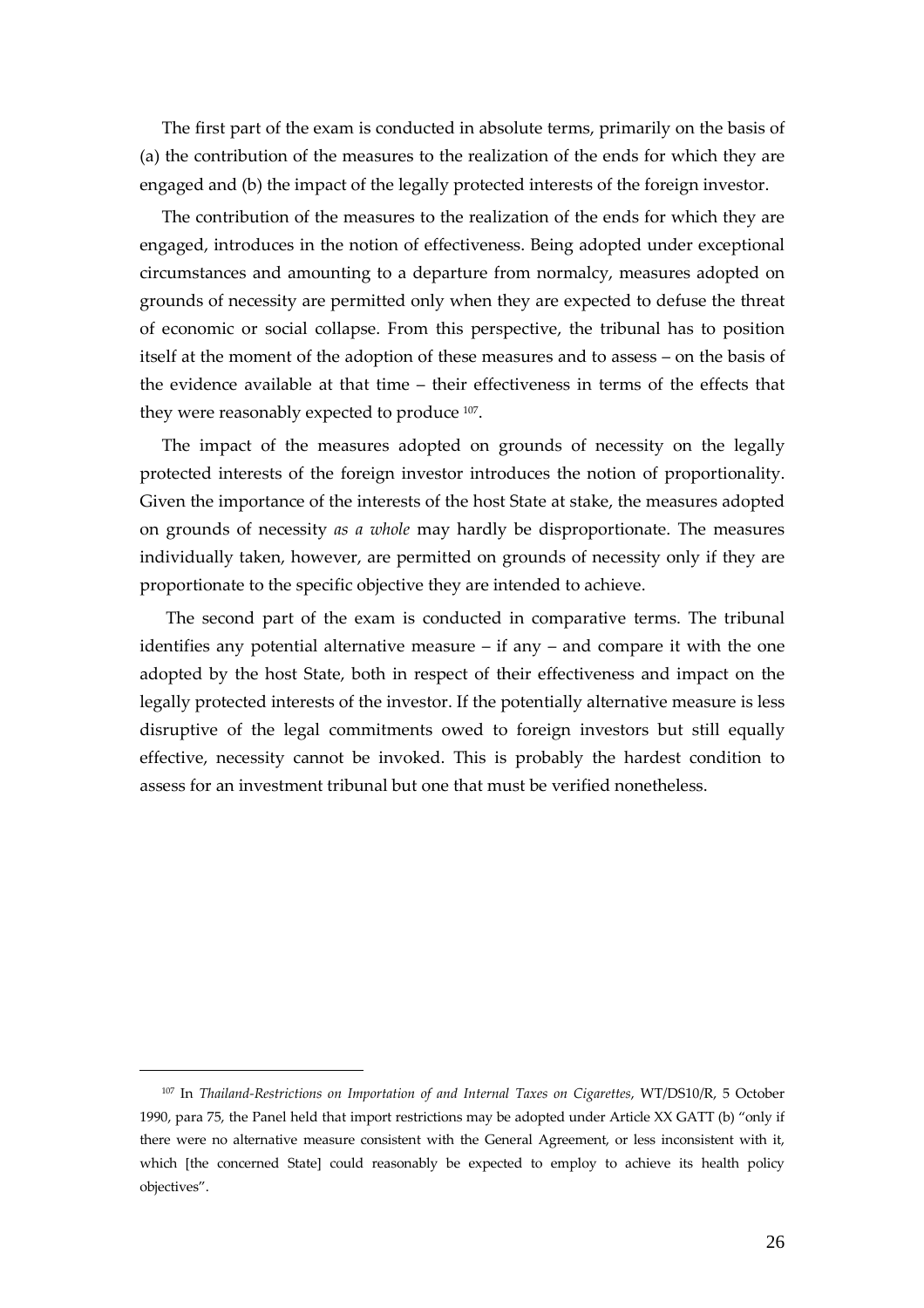The first part of the exam is conducted in absolute terms, primarily on the basis of (a) the contribution of the measures to the realization of the ends for which they are engaged and (b) the impact of the legally protected interests of the foreign investor.

The contribution of the measures to the realization of the ends for which they are engaged, introduces in the notion of effectiveness. Being adopted under exceptional circumstances and amounting to a departure from normalcy, measures adopted on grounds of necessity are permitted only when they are expected to defuse the threat of economic or social collapse. From this perspective, the tribunal has to position itself at the moment of the adoption of these measures and to assess – on the basis of the evidence available at that time – their effectiveness in terms of the effects that they were reasonably expected to produce <sup>107</sup>.

The impact of the measures adopted on grounds of necessity on the legally protected interests of the foreign investor introduces the notion of proportionality. Given the importance of the interests of the host State at stake, the measures adopted on grounds of necessity *as a whole* may hardly be disproportionate. The measures individually taken, however, are permitted on grounds of necessity only if they are proportionate to the specific objective they are intended to achieve.

 The second part of the exam is conducted in comparative terms. The tribunal identifies any potential alternative measure  $-$  if any  $-$  and compare it with the one adopted by the host State, both in respect of their effectiveness and impact on the legally protected interests of the investor. If the potentially alternative measure is less disruptive of the legal commitments owed to foreign investors but still equally effective, necessity cannot be invoked. This is probably the hardest condition to assess for an investment tribunal but one that must be verified nonetheless.

<sup>107</sup> In *Thailand-Restrictions on Importation of and Internal Taxes on Cigarettes*, WT/DS10/R, 5 October 1990, para 75, the Panel held that import restrictions may be adopted under Article XX GATT (b) "only if there were no alternative measure consistent with the General Agreement, or less inconsistent with it, which [the concerned State] could reasonably be expected to employ to achieve its health policy objectives".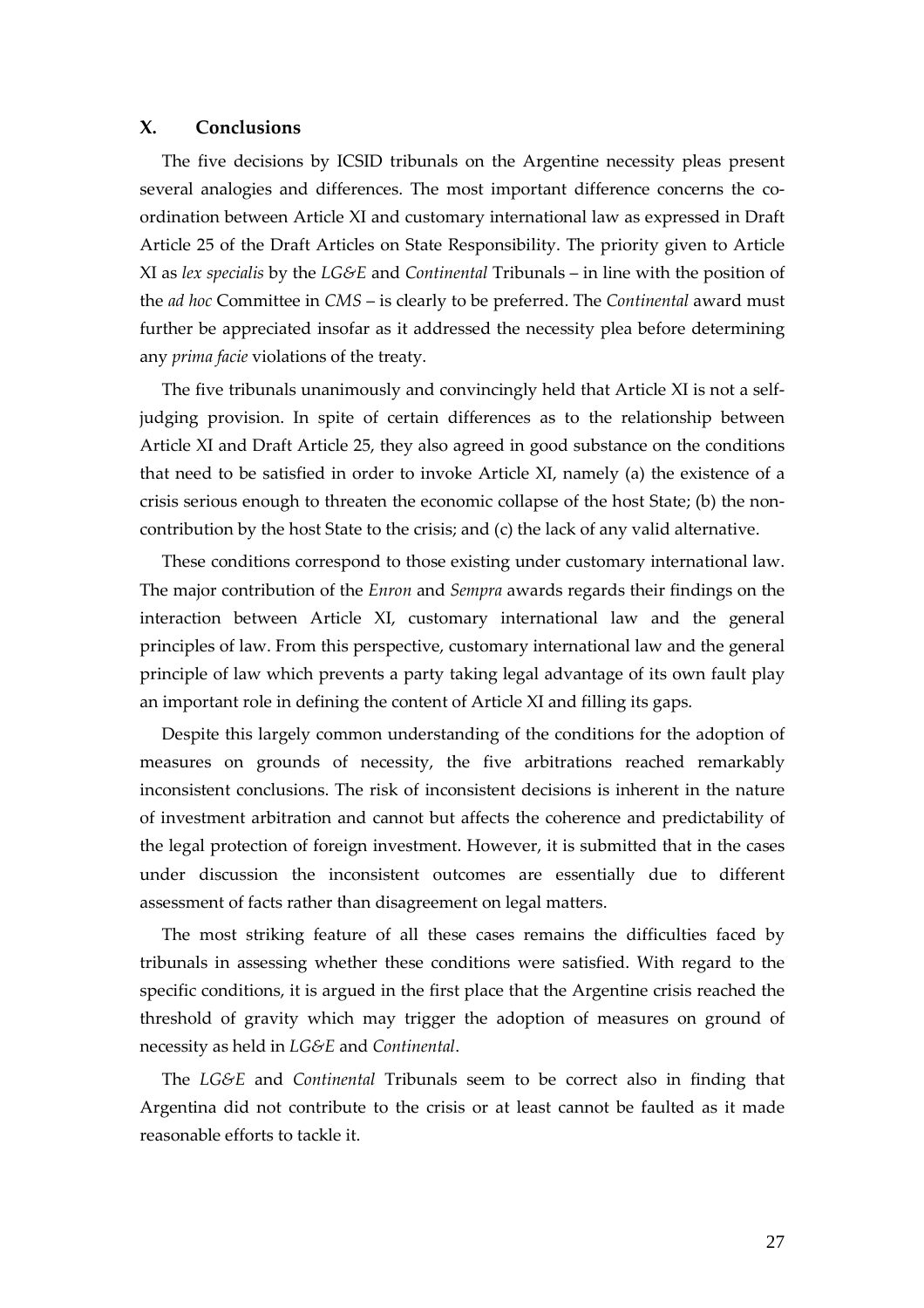#### **X. Conclusions**

The five decisions by ICSID tribunals on the Argentine necessity pleas present several analogies and differences. The most important difference concerns the coordination between Article XI and customary international law as expressed in Draft Article 25 of the Draft Articles on State Responsibility. The priority given to Article XI as *lex specialis* by the *LG&E* and *Continental* Tribunals – in line with the position of the *ad hoc* Committee in *CMS* – is clearly to be preferred. The *Continental* award must further be appreciated insofar as it addressed the necessity plea before determining any *prima facie* violations of the treaty.

The five tribunals unanimously and convincingly held that Article XI is not a selfjudging provision. In spite of certain differences as to the relationship between Article XI and Draft Article 25, they also agreed in good substance on the conditions that need to be satisfied in order to invoke Article XI, namely (a) the existence of a crisis serious enough to threaten the economic collapse of the host State; (b) the noncontribution by the host State to the crisis; and (c) the lack of any valid alternative.

These conditions correspond to those existing under customary international law. The major contribution of the *Enron* and *Sempra* awards regards their findings on the interaction between Article XI, customary international law and the general principles of law. From this perspective, customary international law and the general principle of law which prevents a party taking legal advantage of its own fault play an important role in defining the content of Article XI and filling its gaps.

Despite this largely common understanding of the conditions for the adoption of measures on grounds of necessity, the five arbitrations reached remarkably inconsistent conclusions. The risk of inconsistent decisions is inherent in the nature of investment arbitration and cannot but affects the coherence and predictability of the legal protection of foreign investment. However, it is submitted that in the cases under discussion the inconsistent outcomes are essentially due to different assessment of facts rather than disagreement on legal matters.

The most striking feature of all these cases remains the difficulties faced by tribunals in assessing whether these conditions were satisfied. With regard to the specific conditions, it is argued in the first place that the Argentine crisis reached the threshold of gravity which may trigger the adoption of measures on ground of necessity as held in *LG&E* and *Continental*.

The *LG&E* and *Continental* Tribunals seem to be correct also in finding that Argentina did not contribute to the crisis or at least cannot be faulted as it made reasonable efforts to tackle it.